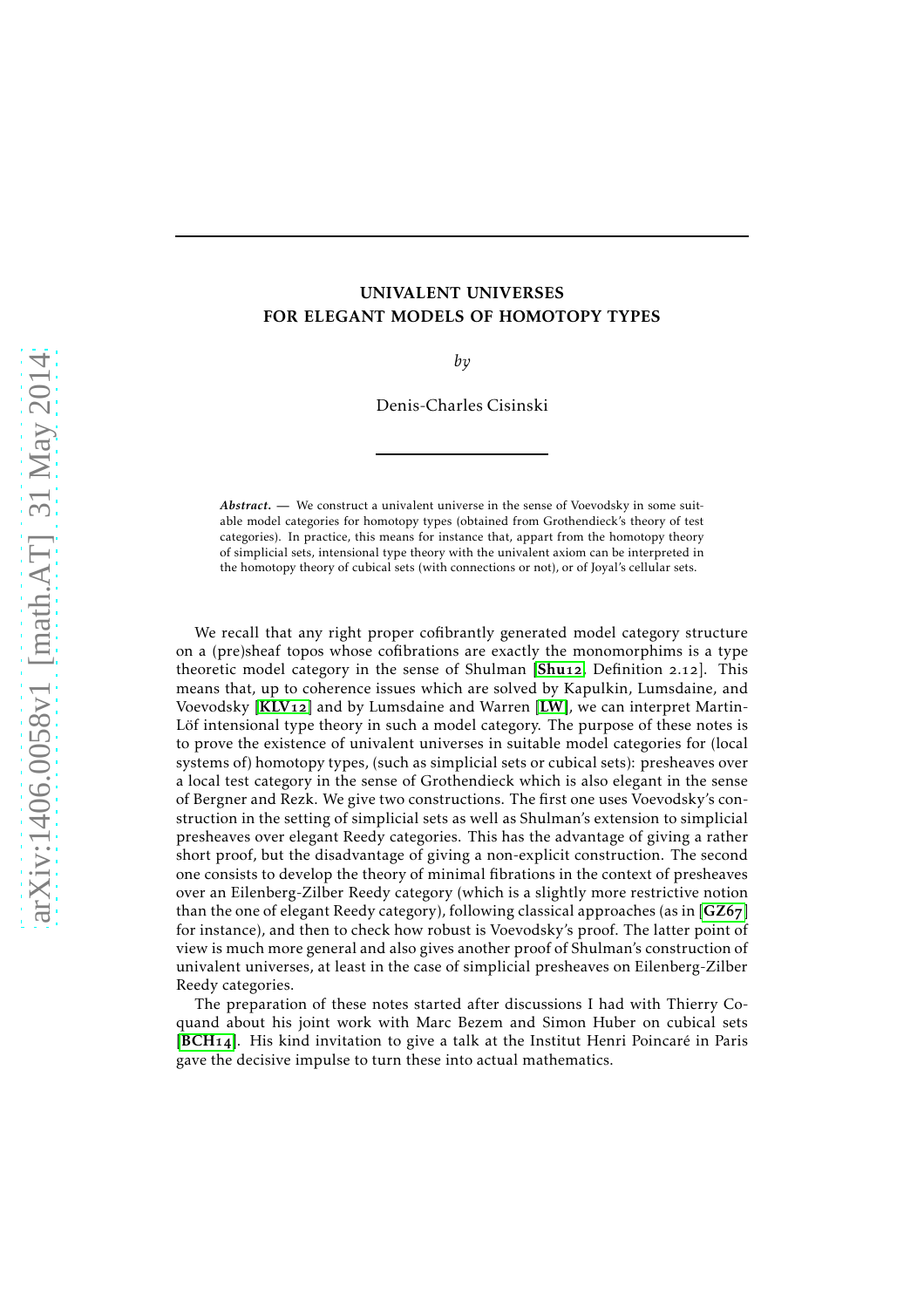# UNIVALENT UNIVERSES FOR ELEGANT MODELS OF HOMOTOPY TYPES

*by*

Denis-Charles Cisinski

*Abstract*. — We construct a univalent universe in the sense of Voevodsky in some suitable model categories for homotopy types (obtained from Grothendieck's theory of test categories). In practice, this means for instance that, appart from the homotopy theory of simplicial sets, intensional type theory with the univalent axiom can be interpreted in the homotopy theory of cubical sets (with connections or not), or of Joyal's cellular sets.

We recall that any right proper cofibrantly generated model category structure on a (pre)sheaf topos whose cofibrations are exactly the monomorphims is a type theoretic model category in the sense of [Shu](#page-24-0)lman [Shu<sub>12</sub>, Definition 2.12]. This means that, up to coherence issues which are solved by Kapulkin, Lumsdaine, and Voevodsky  $\text{[KLV12]}$  $\text{[KLV12]}$  $\text{[KLV12]}$  and by Lumsdaine and Warren  $\text{[LW]}$  $\text{[LW]}$  $\text{[LW]}$ , we can interpret Martin-Löf intensional type theory in such a model category. The purpose of these notes is to prove the existence of univalent universes in suitable model categories for (local systems of) homotopy types, (such as simplicial sets or cubical sets): presheaves over a local test category in the sense of Grothendieck which is also elegant in the sense of Bergner and Rezk. We give two constructions. The first one uses Voevodsky's construction in the setting of simplicial sets as well as Shulman's extension to simplicial presheaves over elegant Reedy categories. This has the advantage of giving a rather short proof, but the disadvantage of giving a non-explicit construction. The second one consists to develop the theory of minimal fibrations in the context of presheaves over an Eilenberg-Zilber Reedy category (which is a slightly more restrictive notion than the one of elegant Reedy category), following classical approaches (as in  $[GZ67]$  $[GZ67]$  $[GZ67]$ for instance), and then to check how robust is Voevodsky's proof. The latter point of view is much more general and also gives another proof of Shulman's construction of univalent universes, at least in the case of simplicial presheaves on Eilenberg-Zilber Reedy categories.

The preparation of these notes started after discussions I had with Thierry Coquand about his joint work with Marc Bezem and Simon Huber on cubical sets  $[BCH14]$  $[BCH14]$  $[BCH14]$ . His kind invitation to give a talk at the Institut Henri Poincaré in Paris gave the decisive impulse to turn these into actual mathematics.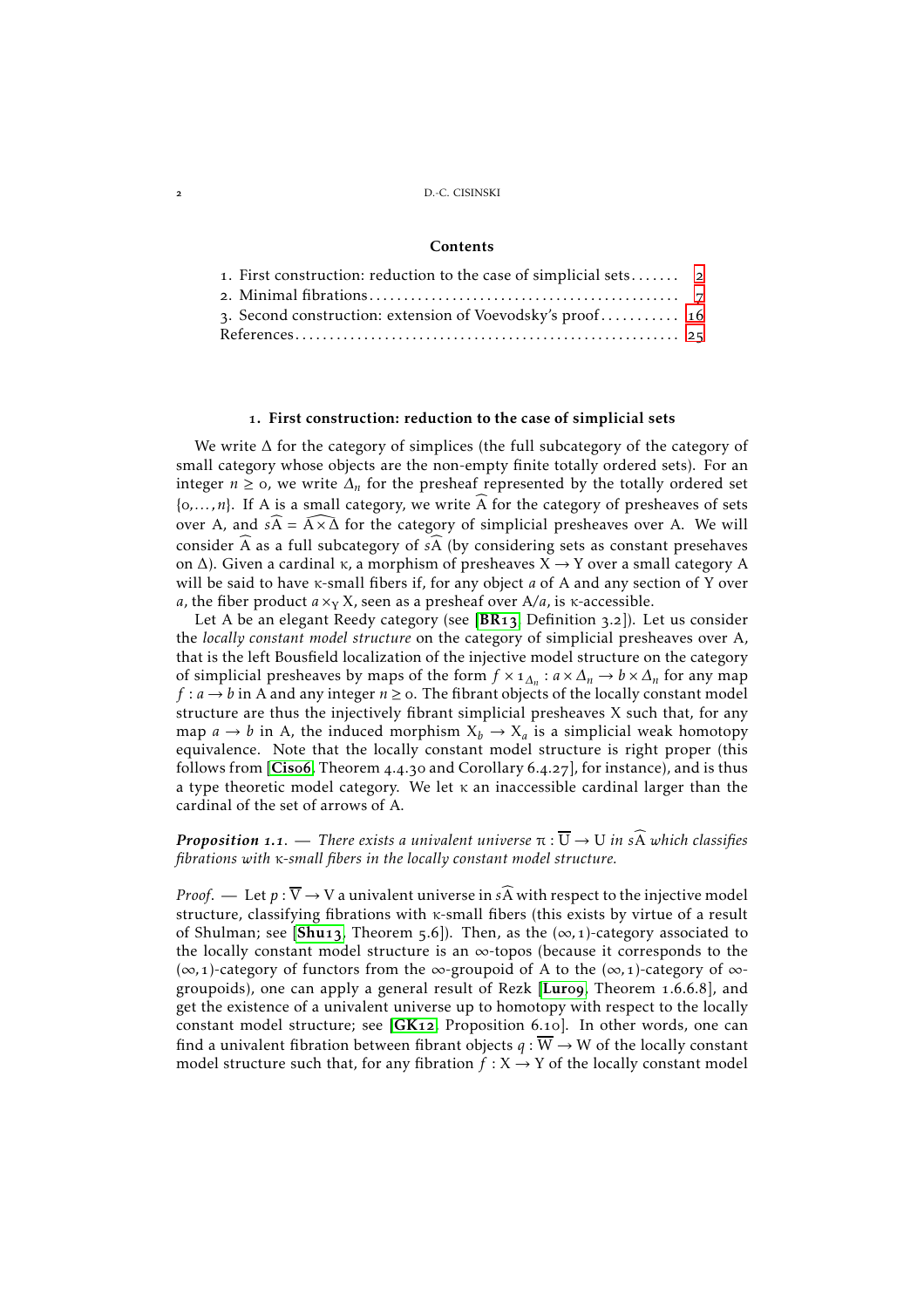#### **Contents**

| 1. First construction: reduction to the case of simplicial sets 2 |  |
|-------------------------------------------------------------------|--|
|                                                                   |  |
| 3. Second construction: extension of Voevodsky's proof 16         |  |
|                                                                   |  |

## . First construction: reduction to the case of simplicial sets

<span id="page-1-0"></span>We write ∆ for the category of simplices (the full subcategory of the category of small category whose objects are the non-empty finite totally ordered sets). For an integer *n* ≥ 0, we write  $\Delta_n$  for the presheaf represented by the totally ordered set  $\{0, \ldots, n\}$ . If A is a small category, we write  $\widehat{A}$  for the category of presheaves of sets over A, and  $s\widehat{A} = \widehat{A \times \Delta}$  for the category of simplicial presheaves over A. We will consider  $\widehat{A}$  as a full subcategory of  $s\widehat{A}$  (by considering sets as constant presehaves on Δ). Given a cardinal κ, a morphism of presheaves  $X \rightarrow Y$  over a small category A will be said to have κ-small fibers if, for any object *a* of A and any section of Y over *a*, the fiber product  $a \times_Y X$ , seen as a presheaf over  $A/a$ , is  $\kappa$ -accessible.

Let A be an elegant Reedy category (see  $[BR13,$  $[BR13,$  $[BR13,$  Definition 3.2]). Let us consider the *locally constant model structure* on the category of simplicial presheaves over A, that is the left Bousfield localization of the injective model structure on the category of simplicial presheaves by maps of the form  $f \times 1_{\Delta_n} : a \times \Delta_n \to b \times \Delta_n$  for any map *f* :  $a \rightarrow b$  in A and any integer  $n \ge 0$ . The fibrant objects of the locally constant model structure are thus the injectively fibrant simplicial presheaves X such that, for any map  $a \to b$  in A, the induced morphism  $X_b \to X_a$  is a simplicial weak homotopy equivalence. Note that the locally constant model structure is right proper (this follows from  $[Ciso6, Theorem 4.4.30 and Corollary 6.4.27]$  $[Ciso6, Theorem 4.4.30 and Corollary 6.4.27]$  $[Ciso6, Theorem 4.4.30 and Corollary 6.4.27]$ , for instance), and is thus a type theoretic model category. We let κ an inaccessible cardinal larger than the cardinal of the set of arrows of A.

*Proposition* 1.1. — *There exists a univalent universe*  $\pi : \overline{U} \to U$  *in s* $\widehat{A}$  *which classifies fibrations with* κ*-small fibers in the locally constant model structure.*

*Proof.* — Let  $p : \overline{V} \to V$  a univalent universe in  $s\widehat{A}$  with respect to the injective model structure, classifying fibrations with κ-small fibers (this exists by virtue of a result of [Shu](#page-24-8)lman; see [Shu<sub>13</sub>, Theorem 5.6]). Then, as the  $(\infty, 1)$ -category associated to the locally constant model structure is an  $\infty$ -topos (because it corresponds to the (∞*,*)-category of functors from the ∞-groupoid of A to the (∞*,*)-category of ∞ groupoids), one can apply a general result of Rezk  $[Luroq, Theorem 1.6.6.8]$  $[Luroq, Theorem 1.6.6.8]$  $[Luroq, Theorem 1.6.6.8]$ , and get the existence of a univalent universe up to homotopy with respect to the locally constant model structure; see  $[GK_12,$  $[GK_12,$  $[GK_12,$  Proposition 6.10]. In other words, one can find a univalent fibration between fibrant objects  $q : \overline{W} \to W$  of the locally constant model structure such that, for any fibration  $f : X \rightarrow Y$  of the locally constant model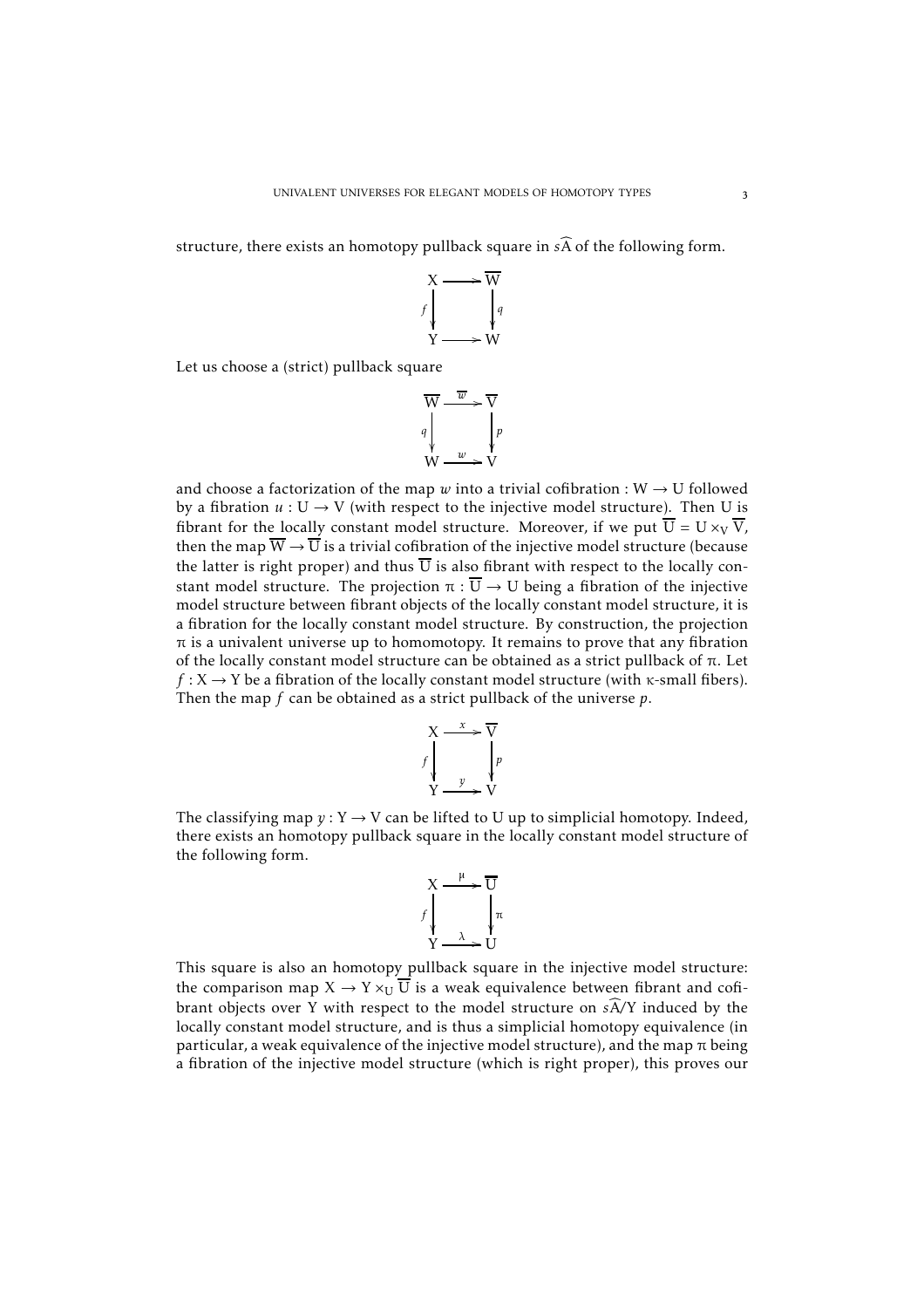structure, there exists an homotopy pullback square in  $s\widehat{A}$  of the following form.



Let us choose a (strict) pullback square

$$
\overline{W} \xrightarrow{\overline{w}} \overline{V}
$$
\n
$$
q \downarrow \qquad \qquad \downarrow p
$$
\n
$$
W \xrightarrow{w} V
$$

and choose a factorization of the map  $w$  into a trivial cofibration : W  $\rightarrow$  U followed by a fibration  $u : U \to V$  (with respect to the injective model structure). Then U is fibrant for the locally constant model structure. Moreover, if we put  $\overline{U} = U \times_V \overline{V}$ , then the map  $\overline{W} \to \overline{U}$  is a trivial cofibration of the injective model structure (because the latter is right proper) and thus  $\overline{U}$  is also fibrant with respect to the locally constant model structure. The projection  $\pi : \overline{U} \to U$  being a fibration of the injective model structure between fibrant objects of the locally constant model structure, it is a fibration for the locally constant model structure. By construction, the projection  $\pi$  is a univalent universe up to homomotopy. It remains to prove that any fibration of the locally constant model structure can be obtained as a strict pullback of π. Let  $f: X \rightarrow Y$  be a fibration of the locally constant model structure (with  $\kappa$ -small fibers). Then the map *f* can be obtained as a strict pullback of the universe *p*.



The classifying map  $y: Y \rightarrow V$  can be lifted to U up to simplicial homotopy. Indeed, there exists an homotopy pullback square in the locally constant model structure of the following form.

$$
X \xrightarrow{\mu} \overline{U}
$$
\n
$$
f \downarrow \qquad \qquad \downarrow \pi
$$
\n
$$
Y \xrightarrow{\lambda} U
$$

This square is also an homotopy pullback square in the injective model structure: the comparison map  $X \to Y \times_U \overline{U}$  is a weak equivalence between fibrant and cofibrant objects over Y with respect to the model structure on  $s\widehat{A}/Y$  induced by the locally constant model structure, and is thus a simplicial homotopy equivalence (in particular, a weak equivalence of the injective model structure), and the map  $\pi$  being a fibration of the injective model structure (which is right proper), this proves our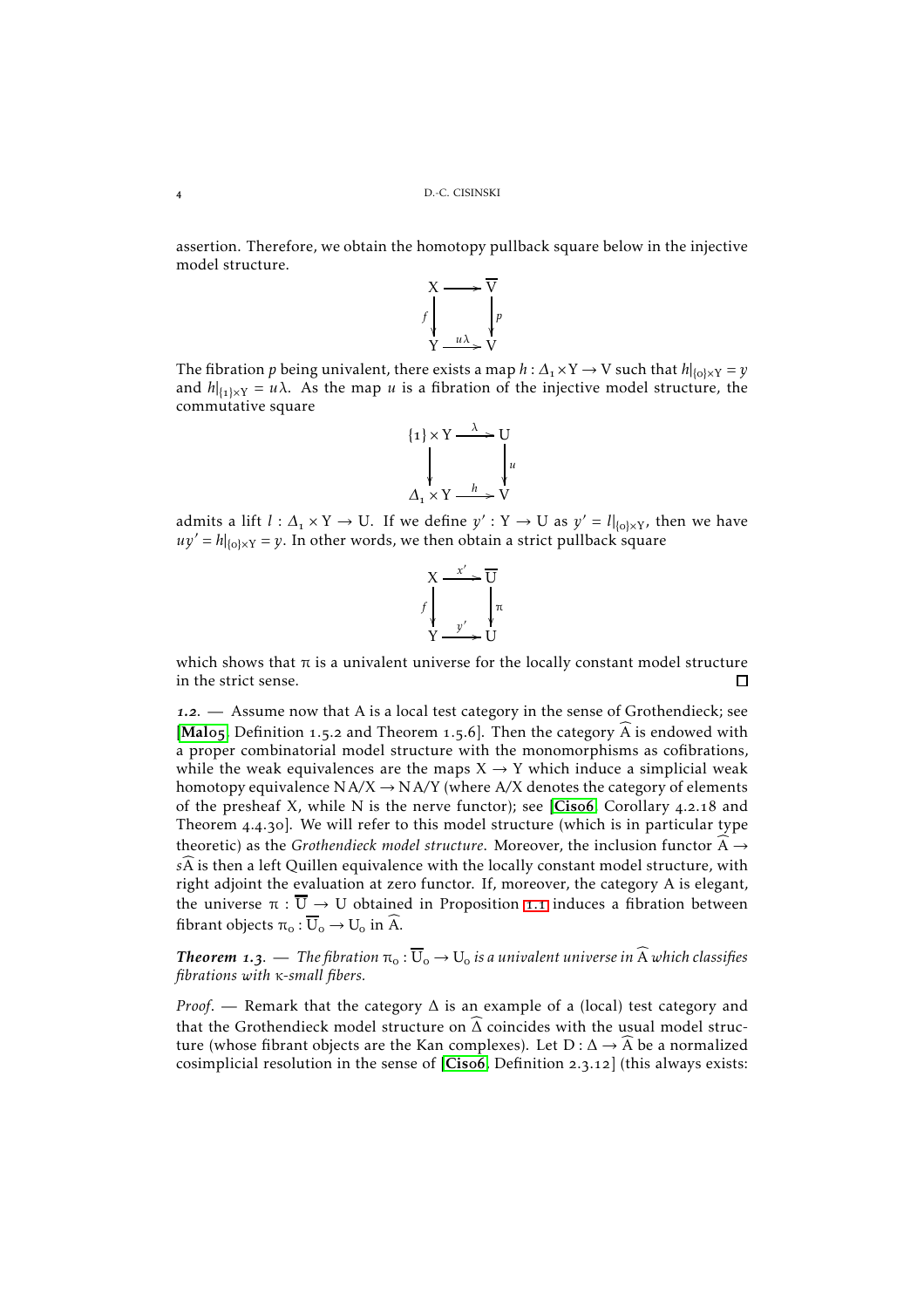assertion. Therefore, we obtain the homotopy pullback square below in the injective model structure.



The fibration  $p$  being univalent, there exists a map  $h: \Delta_{\text{1}} \times \text{Y} \to \text{V}$  such that  $h|_{\{o\} \times \text{Y}} = y$ and  $h|_{\{1\} \times Y} = u\lambda$ . As the map *u* is a fibration of the injective model structure, the commutative square

{
$$
1
$$
}  $\times$  Y  $\longrightarrow$  V  
 $\downarrow$  V  
 $\Lambda_1 \times$  Y  $\longrightarrow$  V

admits a lift  $l: \Delta_1 \times Y \to U$ . If we define  $y': Y \to U$  as  $y' = l|_{\{o\} \times Y}$ , then we have  $uy' = h|_{\{o\} \times Y} = y$ . In other words, we then obtain a strict pullback square



which shows that  $\pi$  is a univalent universe for the locally constant model structure in the strict sense.  $\Box$ 

1.2. — Assume now that A is a local test category in the sense of Grothendieck; see [[Mal](#page-24-11)o5, Definition 1.5.2 and Theorem 1.5.6]. Then the category  $\widehat{A}$  is endowed with a proper combinatorial model structure with the monomorphisms as cofibrations, while the weak equivalences are the maps  $X \rightarrow Y$  which induce a simplicial weak homotopy equivalence  $NA/X \rightarrow NA/Y$  (where  $A/X$  denotes the category of elements of the presheaf X, while N is the nerve functor); see [[Cis](#page-24-7)o6, Corollary 4.2.18 and Theorem  $4.4.3$ o]. We will refer to this model structure (which is in particular type theoretic) as the *Grothendieck model structure*. Moreover, the inclusion functor  $\overline{A} \rightarrow$ *sA* is then a left Quillen equivalence with the locally constant model structure, with right adjoint the evaluation at zero functor. If, moreover, the category A is elegant, the universe  $\pi : \overline{U} \to U$  obtained in Proposition 1.1 induces a fibration between fibrant objects  $\pi_0 : \overline{U}_0 \to U_0$  in  $\widehat{A}$ .

*Theorem 1.3.* — *The fibration*  $\pi_o : \overline{U}_o \to U_o$  *is a univalent universe in*  $\widehat{A}$  *which classifies fibrations with* κ*-small fibers.*

*Proof.* — Remark that the category  $\Delta$  is an example of a (local) test category and that the Grothendieck model structure on  $\widehat{\Delta}$  coincides with the usual model structure (whose fibrant objects are the Kan complexes). Let  $D: \Delta \rightarrow A$  be a normalized cosimplicial resolution in the sense of  $[Cisof, Definition 2.3.12]$  $[Cisof, Definition 2.3.12]$  $[Cisof, Definition 2.3.12]$  (this always exists: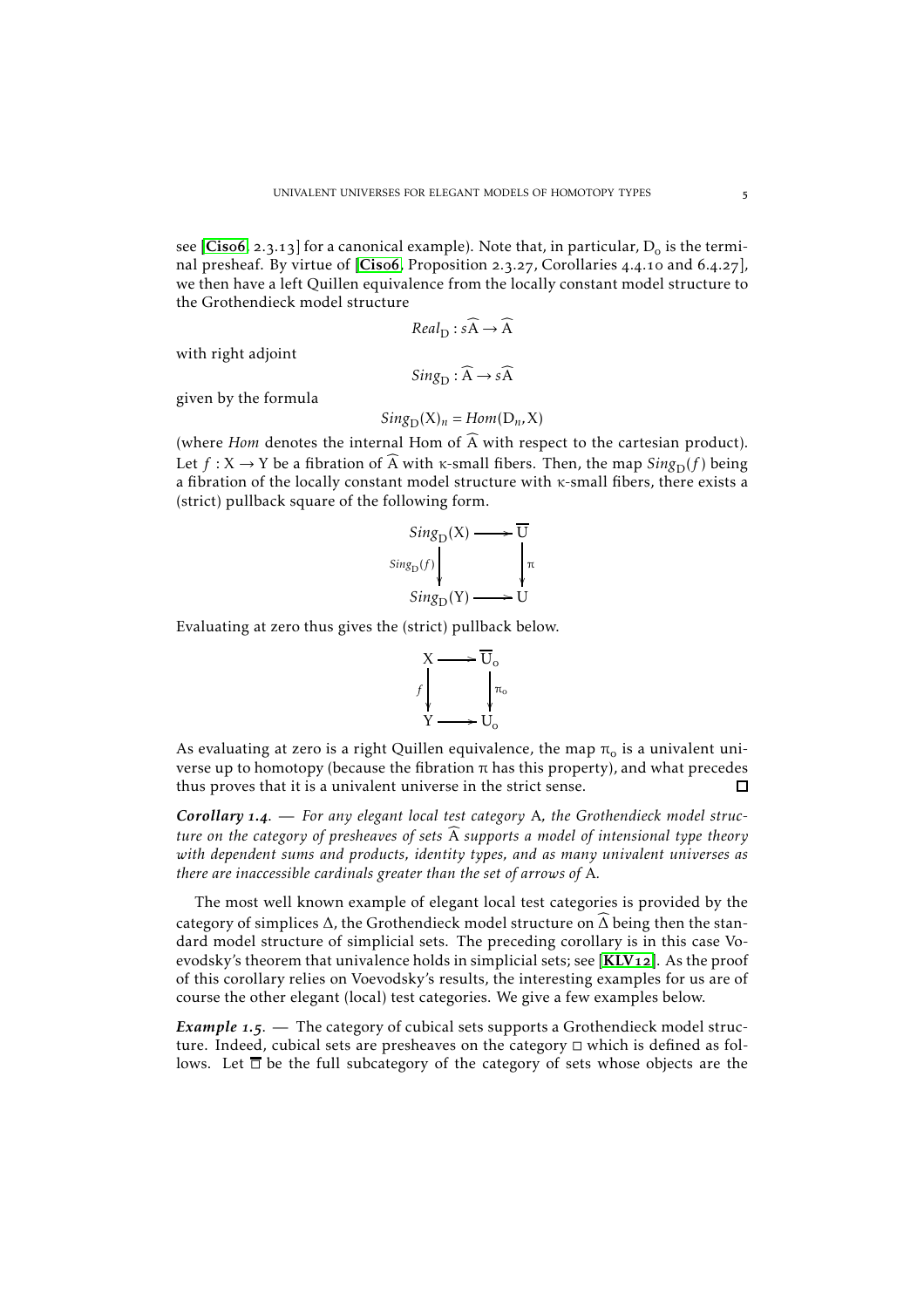see [[Cis](#page-24-7)o6, 2.3.13] for a canonical example). Note that, in particular,  $D_0$  is the terminal presheaf. By virtue of  $[Cisof, Proposition 2.3.27, Corollaries 4.4.10 and 6.4.27],$  $[Cisof, Proposition 2.3.27, Corollaries 4.4.10 and 6.4.27],$  $[Cisof, Proposition 2.3.27, Corollaries 4.4.10 and 6.4.27],$ we then have a left Quillen equivalence from the locally constant model structure to the Grothendieck model structure

$$
Real_{D}: s\widehat{A} \to \widehat{A}
$$

with right adjoint

$$
Sing_{\mathcal{D}}:\widehat{\mathcal{A}}\rightarrow s\widehat{\mathcal{A}}
$$

given by the formula

$$
Sing_{\mathcal{D}}(X)_n = Hom(D_n, X)
$$

(where *Hom* denotes the internal Hom of  $\widehat{A}$  with respect to the cartesian product). Let  $f: X \to Y$  be a fibration of  $\widehat{A}$  with  $\kappa$ -small fibers. Then, the map  $Sing_D(f)$  being a fibration of the locally constant model structure with κ-small fibers, there exists a (strict) pullback square of the following form.

$$
Sing_D(X) \longrightarrow \overline{U}
$$
  
\n
$$
Sing_D(f) \downarrow \qquad \qquad \downarrow \pi
$$
  
\n
$$
Sing_D(Y) \longrightarrow U
$$

Evaluating at zero thus gives the (strict) pullback below.



As evaluating at zero is a right Quillen equivalence, the map  $\pi_0$  is a univalent universe up to homotopy (because the fibration π has this property), and what precedes thus proves that it is a univalent universe in the strict sense. П

Corollary 1.4.  $-$  For any elegant local test category A, the Grothendieck model struc*ture on the category of presheaves of sets* A *supports a model of intensional type theory with dependent sums and products, identity types, and as many univalent universes as there are inaccessible cardinals greater than the set of arrows of* A*.*

The most well known example of elegant local test categories is provided by the category of simplices  $\Delta$ , the Grothendieck model structure on  $\Delta$  being then the standard model structure of simplicial sets. The preceding corollary is in this case Voevodsky's theorem that univalence holds in simplicial sets; see  $[KLV_{12}]$  $[KLV_{12}]$  $[KLV_{12}]$ . As the proof of this corollary relies on Voevodsky's results, the interesting examples for us are of course the other elegant (local) test categories. We give a few examples below.

*Example* 1.5. — The category of cubical sets supports a Grothendieck model structure. Indeed, cubical sets are presheaves on the category  $\Box$  which is defined as follows. Let  $\overline{\Box}$  be the full subcategory of the category of sets whose objects are the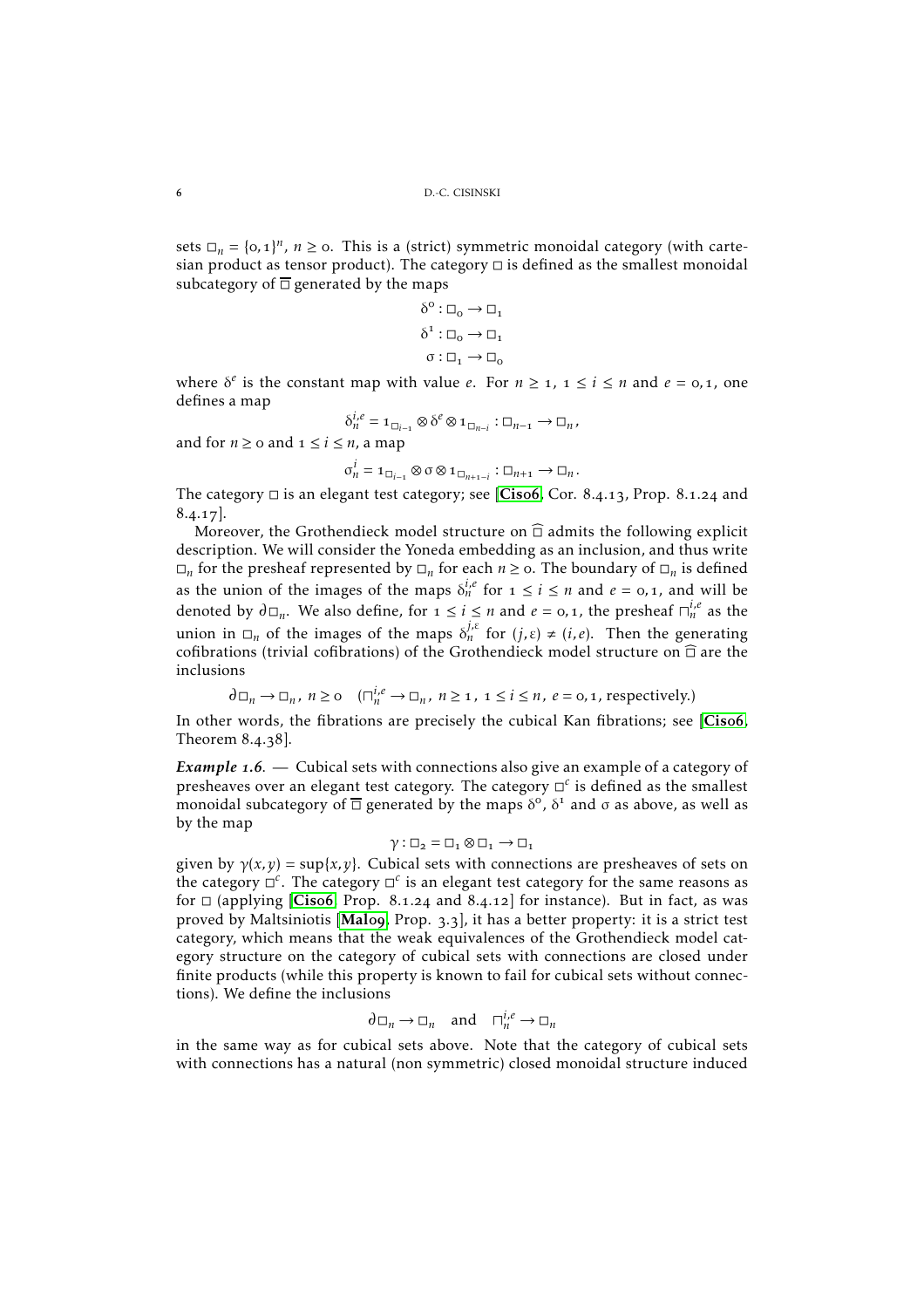sets  $\Box_n = \{0, 1\}^n$ ,  $n \ge 0$ . This is a (strict) symmetric monoidal category (with cartesian product as tensor product). The category  $\Box$  is defined as the smallest monoidal subcategory of  $\overline{\Box}$  generated by the maps

$$
\begin{aligned} \delta^0: \Box_0 \to \Box_1 \\ \delta^1: \Box_0 \to \Box_1 \\ \sigma: \Box_1 \to \Box_0 \end{aligned}
$$

where  $\delta^e$  is the constant map with value *e*. For  $n \geq 1$ ,  $1 \leq i \leq n$  and  $e = 0, 1$ , one defines a map

$$
\delta_n^{i,e} = \mathbf{1}_{\Box_{i-1}} \otimes \delta^e \otimes \mathbf{1}_{\Box_{n-i}} : \Box_{n-1} \to \Box_n,
$$

and for  $n \geq 0$  and  $1 \leq i \leq n$ , a map

$$
\sigma_n^i = \mathbf{1}_{\Box_{i-1}} \otimes \sigma \otimes \mathbf{1}_{\Box_{n+1-i}} : \Box_{n+1} \to \Box_n.
$$

The category  $\Box$  is an elegant test category; see [[Cis](#page-24-7)o6, Cor. 8.4.13, Prop. 8.1.24 and  $8.4.17$ .

Moreover, the Grothendieck model structure on  $\widehat{\Box}$  admits the following explicit description. We will consider the Yoneda embedding as an inclusion, and thus write  $\Box_n$  for the presheaf represented by  $\Box_n$  for each  $n \ge 0$ . The boundary of  $\Box_n$  is defined as the union of the images of the maps  $\delta_n^{i,e}$  for  $1 \le i \le n$  and  $e = 0,1$ , and will be denoted by  $\partial \Box_n$ . We also define, for  $1 \leq i \leq n$  and  $e = 0, 1$ , the presheaf  $\Box_n^{i,e}$  as the union in  $\Box_n$  of the images of the maps  $\delta_n^{j,\varepsilon}$  for  $(j,\varepsilon) \neq (i,e)$ . Then the generating cofibrations (trivial cofibrations) of the Grothendieck model structure on  $\widehat{\Box}$  are the inclusions

$$
\partial \Box_n \to \Box_n, \ n \geq 0 \quad (\Box_n^{i,e} \to \Box_n, \ n \geq 1, \ 1 \leq i \leq n, \ e = 0, 1, \text{ respectively.})
$$

In other words, the fibrations are precisely the cubical Kan fibrations; see [[Cis](#page-24-7)o6, Theorem  $8.4.38$ ].

**Example 1.6.** — Cubical sets with connections also give an example of a category of presheaves over an elegant test category. The category  $\Box^c$  is defined as the smallest monoidal subcategory of  $\overline{\Box}$  generated by the maps  $\delta^{\rm o}$ ,  $\delta^{\rm 1}$  and  $\sigma$  as above, as well as by the map

$$
\gamma : \Box_2 = \Box_1 \otimes \Box_1 \to \Box_1
$$

given by  $\gamma(x, y) = \sup\{x, y\}$ . Cubical sets with connections are presheaves of sets on the category  $\Box^c$ . The category  $\Box^c$  is an elegant test category for the same reasons as for  $\Box$  (applying [[Cis](#page-24-7)o6, Prop. 8.1.24 and 8.4.12] for instance). But in fact, as was proved by [Mal](#page-24-12)tsiniotis [Malo9, Prop. 3.3], it has a better property: it is a strict test category, which means that the weak equivalences of the Grothendieck model category structure on the category of cubical sets with connections are closed under finite products (while this property is known to fail for cubical sets without connections). We define the inclusions

$$
\partial \Box_n \to \Box_n
$$
 and  $\Box_n^{i,e} \to \Box_n$ 

in the same way as for cubical sets above. Note that the category of cubical sets with connections has a natural (non symmetric) closed monoidal structure induced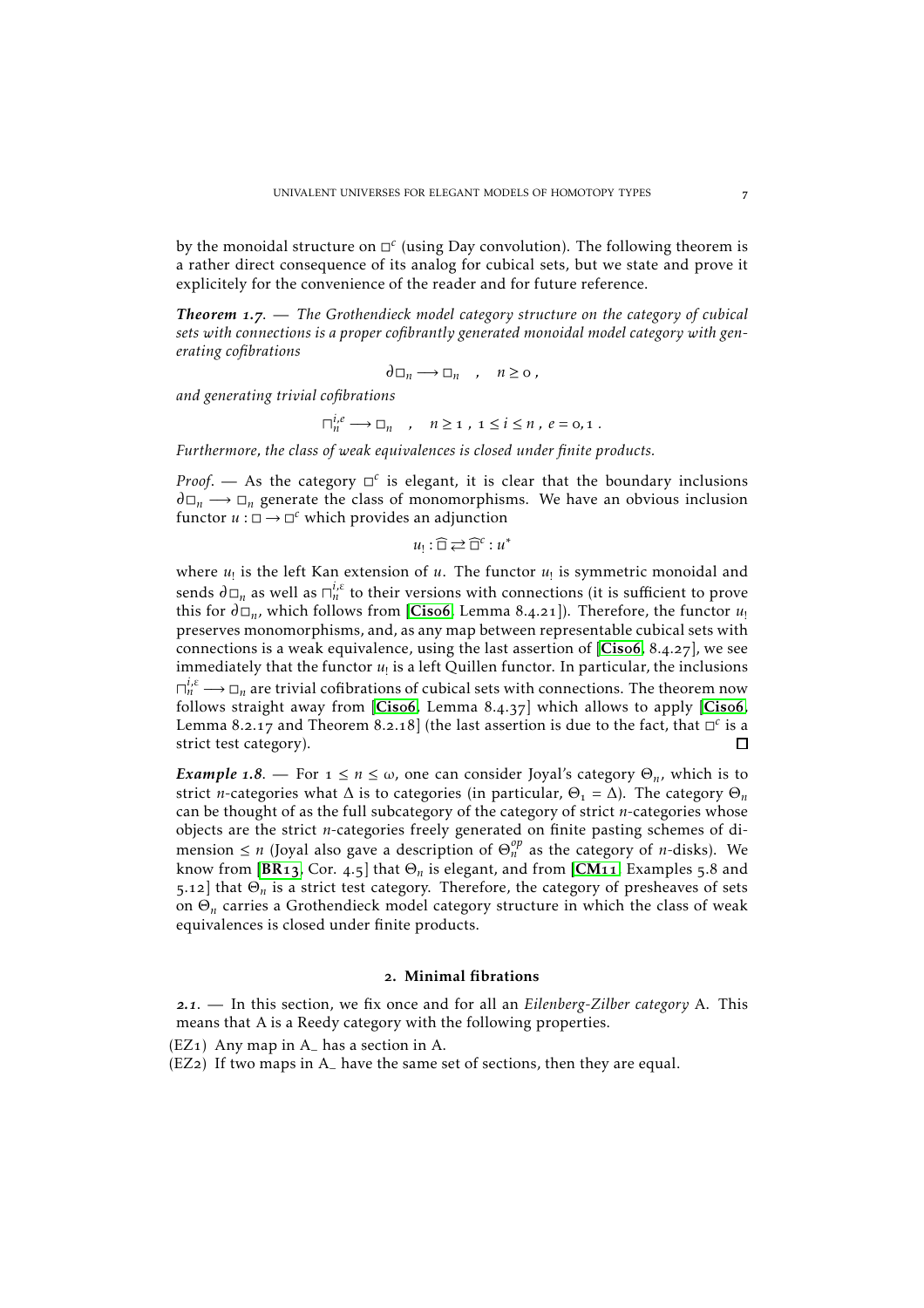by the monoidal structure on  $\Box^c$  (using Day convolution). The following theorem is a rather direct consequence of its analog for cubical sets, but we state and prove it explicitely for the convenience of the reader and for future reference.

*Theorem .*. — *The Grothendieck model category structure on the category of cubical sets with connections is a proper cofibrantly generated monoidal model category with generating cofibrations*

$$
\partial \Box_n \longrightarrow \Box_n \quad , \quad n \ge 0 \; ,
$$

*and generating trivial cofibrations*

 $\Box_n^{i,e} \longrightarrow \Box_n$ ,  $n \geq 1$ ,  $1 \leq i \leq n$ ,  $e = 0,1$ .

*Furthermore, the class of weak equivalences is closed under finite products.*

*Proof.* — As the category  $\Box^c$  is elegant, it is clear that the boundary inclusions  $\partial \Box_n \longrightarrow \Box_n$  generate the class of monomorphisms. We have an obvious inclusion functor  $u : \Box \to \Box^c$  which provides an adjunction

 $u_! : \widehat{\Box} \rightleftarrows \widehat{\Box}^c : u^*$ 

where  $u_!$  is the left Kan extension of  $u$ . The functor  $u_!$  is symmetric monoidal and sends  $\partial \Box_n$  as well as  $\sqcap^{i,\varepsilon}_n$  to their versions with connections (it is sufficient to prove this for  $\partial \Box_n$ , which follows from [[Cis](#page-24-7)o6, Lemma 8.4.21]). Therefore, the functor *u*<sub>!</sub> preserves monomorphisms, and, as any map between representable cubical sets with connections is a weak equivalence, using the last assertion of  $[Cisof, 8.4.27]$  $[Cisof, 8.4.27]$  $[Cisof, 8.4.27]$ , we see immediately that the functor  $u_!$  is a left Quillen functor. In particular, the inclusions  $\Box_n^{i,\epsilon} \longrightarrow \Box_n$  are trivial cofibrations of cubical sets with connections. The theorem now follows straight away from  $[Cisof, Lemma 8.4.37]$  $[Cisof, Lemma 8.4.37]$  $[Cisof, Lemma 8.4.37]$  which allows to apply  $[Cisof,$ Lemma 8.2.17 and Theorem 8.2.18] (the last assertion is due to the fact, that  $\Box^c$  is a strict test category). п

*Example* 1.8. — For  $1 \le n \le \omega$ , one can consider Joyal's category  $\Theta_n$ , which is to strict *n*-categories what  $\Delta$  is to categories (in particular,  $\Theta_1 = \Delta$ ). The category  $\Theta_n$ can be thought of as the full subcategory of the category of strict *n*-categories whose objects are the strict *n*-categories freely generated on finite pasting schemes of dimension  $\leq n$  (Joyal also gave a description of  $\Theta_n^{op}$  as the category of *n*-disks). We know from [[BR](#page-24-6)<sub>13</sub>, Cor. 4.5] that  $\Theta_n$  is elegant, and from [[CM](#page-24-13)<sub>11</sub>, Examples 5.8 and 5.12 that  $\Theta_n$  is a strict test category. Therefore, the category of presheaves of sets on Θ*<sup>n</sup>* carries a Grothendieck model category structure in which the class of weak equivalences is closed under finite products.

#### . Minimal fibrations

<span id="page-6-0"></span>*.*. — In this section, we fix once and for all an *Eilenberg-Zilber category* A. This means that A is a Reedy category with the following properties.

 $(EZ<sub>1</sub>)$  Any map in A<sub> $-$ </sub> has a section in A.

(EZ) If two maps in A<sup>−</sup> have the same set of sections, then they are equal.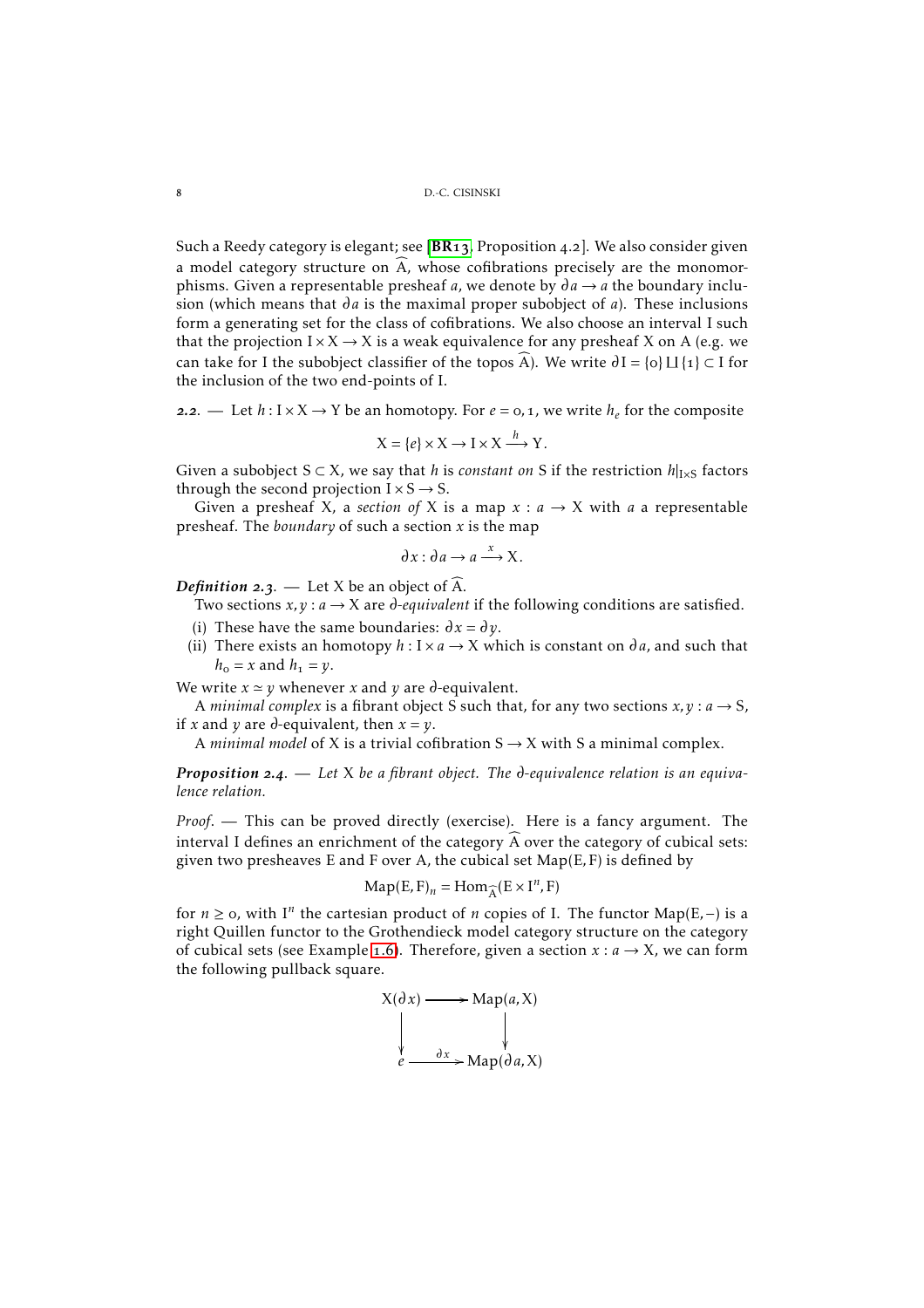Such a Reedy category is elegant; see  $[BR13, Proposition 4.2]$  $[BR13, Proposition 4.2]$  $[BR13, Proposition 4.2]$ . We also consider given a model category structure on  $\widehat{A}$ , whose cofibrations precisely are the monomorphisms. Given a representable presheaf *a*, we denote by  $\partial a \rightarrow a$  the boundary inclusion (which means that  $\partial a$  is the maximal proper subobject of *a*). These inclusions form a generating set for the class of cofibrations. We also choose an interval I such that the projection  $I \times X \rightarrow X$  is a weak equivalence for any presheaf X on A (e.g. we can take for I the subobject classifier of the topos A). We write  $\partial I = \{o\} \sqcup \{1\} \subset I$  for the inclusion of the two end-points of I.

**2.2**. — Let  $h: I \times X \rightarrow Y$  be an homotopy. For  $e = 0, 1$ , we write  $h_e$  for the composite

$$
X = \{e\} \times X \to I \times X \xrightarrow{h} Y.
$$

Given a subobject  $S \subset X$ , we say that *h* is *constant on* S if the restriction  $h|_{I \times S}$  factors through the second projection  $I \times S \rightarrow S$ .

Given a presheaf X, a *section of* X is a map  $x : a \rightarrow X$  with *a* a representable presheaf. The *boundary* of such a section *x* is the map

$$
\partial x : \partial a \to a \xrightarrow{x} X.
$$

*Definition* 2.3. — Let X be an object of  $\widehat{A}$ .

Two sections  $x, y : a \rightarrow X$  are *d*-equivalent if the following conditions are satisfied.

- (i) These have the same boundaries:  $\partial x = \partial y$ .
- (ii) There exists an homotopy  $h: I \times a \rightarrow X$  which is constant on  $\partial a$ , and such that  $h_0 = x$  and  $h_1 = y$ .

We write  $x \approx y$  whenever *x* and *y* are  $\partial$ -equivalent.

A *minimal complex* is a fibrant object S such that, for any two sections  $x, y : a \rightarrow S$ , if *x* and *y* are *d*-equivalent, then  $x = y$ .

A *minimal model* of X is a trivial cofibration  $S \rightarrow X$  with S a minimal complex.

**Proposition 2.4.** — Let X be a fibrant object. The d-equivalence relation is an equiva*lence relation.*

*Proof*. — This can be proved directly (exercise). Here is a fancy argument. The interval I defines an enrichment of the category  $\widehat{A}$  over the category of cubical sets: given two presheaves E and F over A, the cubical set Map(E*,*F) is defined by

$$
\mathrm{Map}(E, F)_n = \mathrm{Hom}_{\widehat{A}}(E \times I^n, F)
$$

for  $n \ge 0$ , with I<sup>n</sup> the cartesian product of *n* copies of I. The functor Map(E, -) is a right Quillen functor to the Grothendieck model category structure on the category of cubical sets (see Example 1.6). Therefore, given a section  $x : a \rightarrow X$ , we can form the following pullback square.

$$
X(\partial x) \longrightarrow \text{Map}(a, X)
$$
\n
$$
\downarrow \qquad \qquad \downarrow
$$
\n
$$
e \longrightarrow \text{Map}(\partial a, X)
$$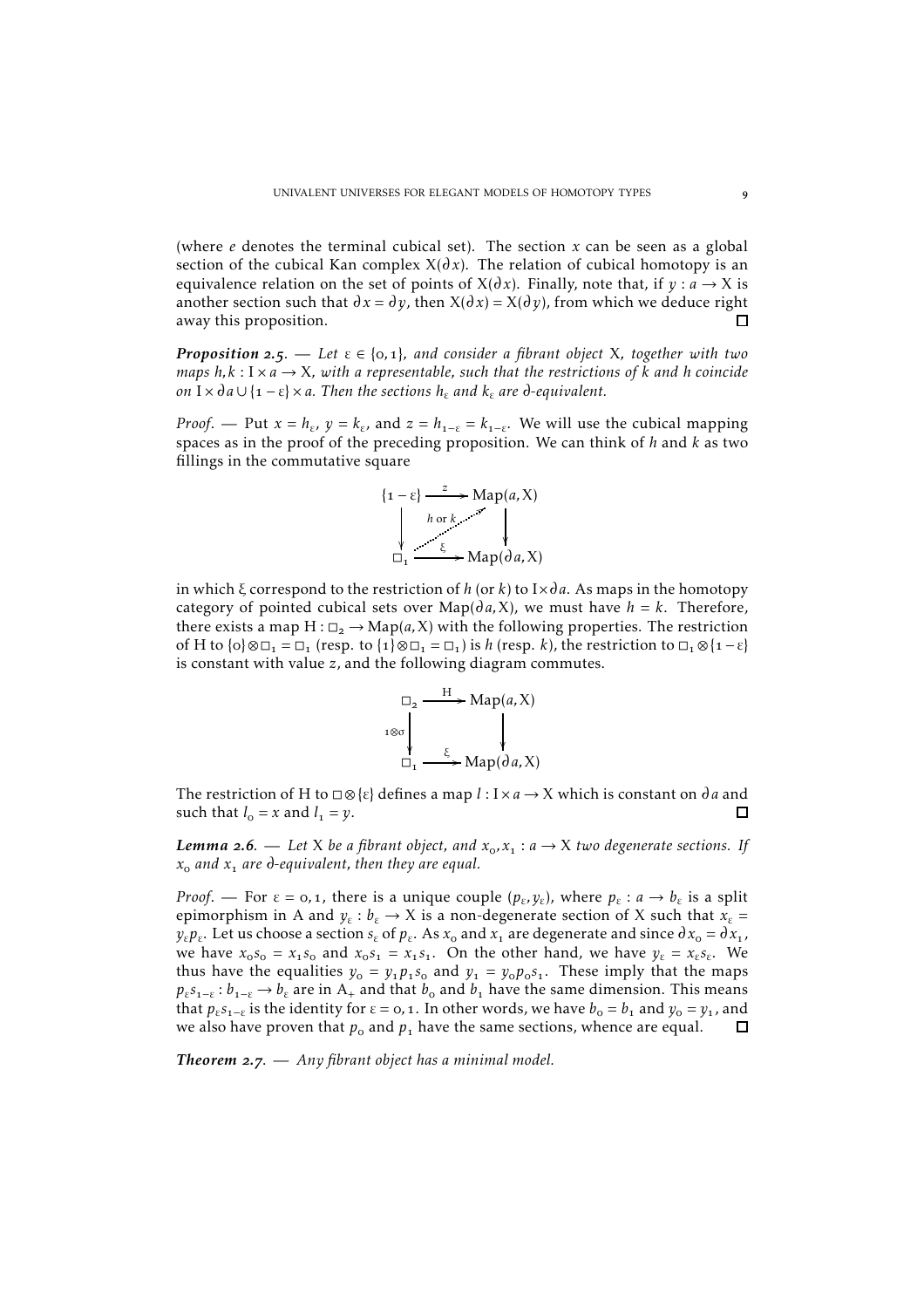(where *e* denotes the terminal cubical set). The section *x* can be seen as a global section of the cubical Kan complex  $X(\partial x)$ . The relation of cubical homotopy is an equivalence relation on the set of points of  $X(\partial x)$ . Finally, note that, if  $y : a \rightarrow X$  is another section such that  $\partial x = \partial y$ , then  $X(\partial x) = X(\partial y)$ , from which we deduce right  $\Box$ away this proposition.

*Proposition* 2.5. — Let  $\varepsilon \in \{0,1\}$ , and consider a fibrant object X, together with two *maps*  $h, k: I \times a \rightarrow X$ , with a representable, such that the restrictions of k and h coincide *on*  $I \times da \cup \{1 - \varepsilon\} \times a$ *. Then the sections*  $h_{\varepsilon}$  *and*  $k_{\varepsilon}$  *are d*-equivalent.

*Proof*. — Put  $x = h_{\varepsilon}$ ,  $y = k_{\varepsilon}$ , and  $z = h_{1-\varepsilon} = k_{1-\varepsilon}$ . We will use the cubical mapping spaces as in the proof of the preceding proposition. We can think of *h* and *k* as two fillings in the commutative square

$$
\{1 - \varepsilon\} \xrightarrow{z} \text{Map}(a, X)
$$
\n
$$
\downarrow \text{for } k \qquad \searrow
$$
\n
$$
\Box_1 \xrightarrow{\xi} \text{Map}(a, X)
$$

in which  $\xi$  correspond to the restriction of *h* (or *k*) to I $\times$ *da*. As maps in the homotopy category of pointed cubical sets over  $\text{Map}(da, X)$ , we must have  $h = k$ . Therefore, there exists a map  $H: \square$ ,  $\rightarrow$  Map(a, X) with the following properties. The restriction of H to  $\{o\} \otimes \Box_1 = \Box_1$  (resp. to  $\{1\} \otimes \Box_1 = \Box_1$ ) is *h* (resp. *k*), the restriction to  $\Box_1 \otimes \{1 - \varepsilon\}$ is constant with value *z*, and the following diagram commutes.



The restriction of H to  $\Box \otimes \{\varepsilon\}$  defines a map  $l : I \times a \rightarrow X$  which is constant on  $\partial a$  and such that  $l_0 = x$  and  $l_1 = y$ . □

*Lemma* **2.6.** — Let X be a fibrant object, and  $x_0, x_1 : a \rightarrow X$  two degenerate sections. If  $x_0$  *and*  $x_1$  *are*  $\theta$ -equivalent, then they are equal.

*Proof.* — For  $\varepsilon = 0, 1$ , there is a unique couple  $(p_{\varepsilon}, y_{\varepsilon})$ , where  $p_{\varepsilon}: a \to b_{\varepsilon}$  is a split epimorphism in A and  $y_{\varepsilon}: b_{\varepsilon} \to X$  is a non-degenerate section of X such that  $x_{\varepsilon} =$  $y_{\varepsilon}p_{\varepsilon}$ . Let us choose a section  $s_{\varepsilon}$  of  $p_{\varepsilon}$ . As  $x_{o}$  and  $x_{1}$  are degenerate and since  $\partial x_{o} = \partial x_{1}$ , we have  $x_0 s_0 = x_1 s_0$  and  $x_0 s_1 = x_1 s_1$ . On the other hand, we have  $y_\varepsilon = x_\varepsilon s_\varepsilon$ . We thus have the equalities  $y_0 = y_1 p_1 s_0$  and  $y_1 = y_0 p_0 s_1$ . These imply that the maps  $p_{\varepsilon} s_{1-\varepsilon} : b_{1-\varepsilon} \to b_{\varepsilon}$  are in A<sub>+</sub> and that  $b_0$  and  $b_1$  have the same dimension. This means that  $p_{\varepsilon} s_{1-\varepsilon}$  is the identity for  $\varepsilon = 0, 1$ . In other words, we have  $b_{o} = b_{1}$  and  $y_{o} = y_{1}$ , and we also have proven that  $p_0$  and  $p_1$  have the same sections, whence are equal. 口

**Theorem 2.7.** — Any fibrant object has a minimal model.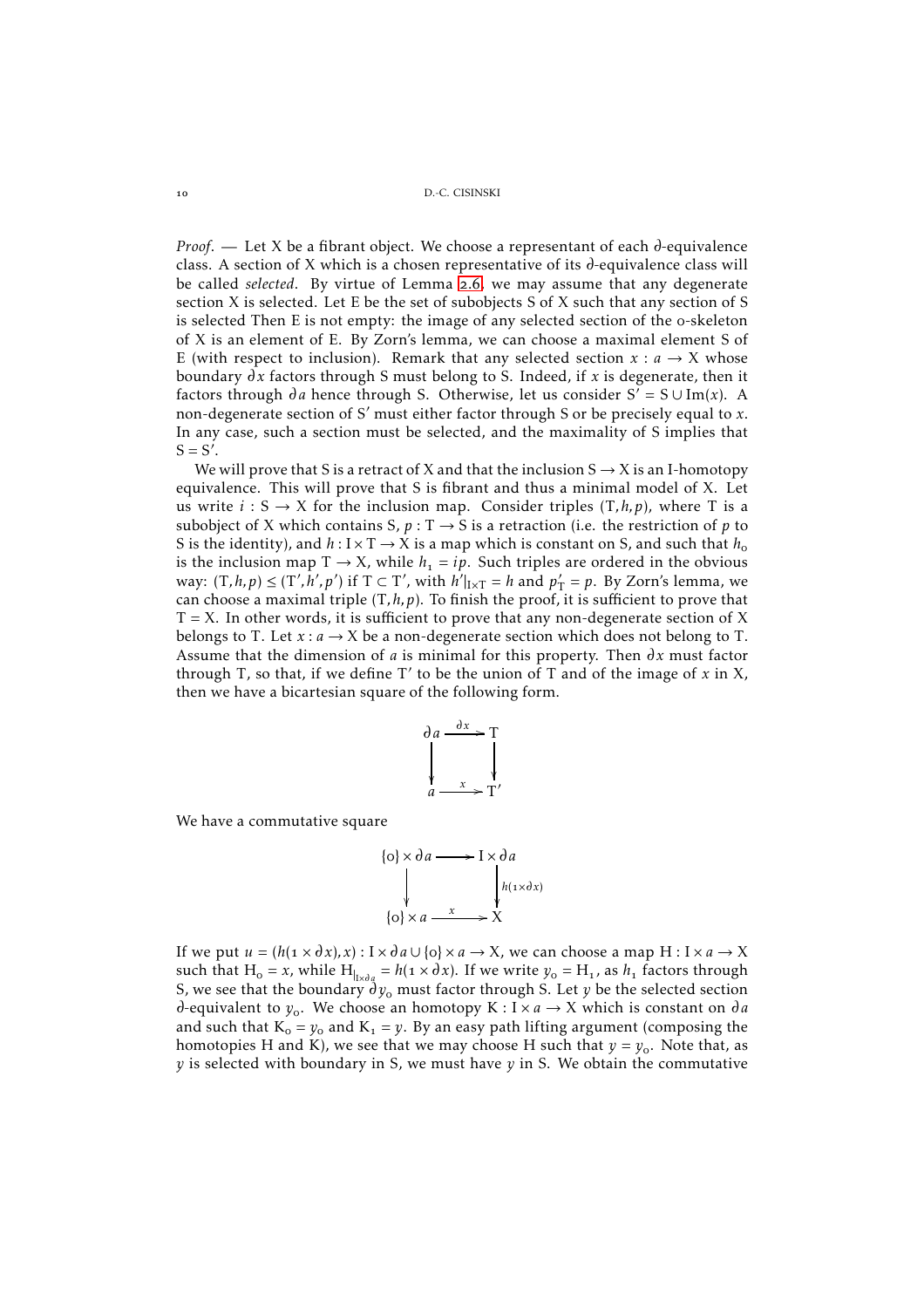*Proof.* — Let X be a fibrant object. We choose a representant of each  $\partial$ -equivalence class. A section of X which is a chosen representative of its  $\partial$ -equivalence class will be called *selected*. By virtue of Lemma 2.6, we may assume that any degenerate section X is selected. Let E be the set of subobjects S of X such that any section of S is selected Then E is not empty: the image of any selected section of the o-skeleton of X is an element of E. By Zorn's lemma, we can choose a maximal element S of E (with respect to inclusion). Remark that any selected section  $x : a \rightarrow X$  whose boundary  $\partial x$  factors through S must belong to S. Indeed, if  $x$  is degenerate, then it factors through  $\partial a$  hence through S. Otherwise, let us consider S' = S  $\cup$  Im(*x*). A non-degenerate section of S′ must either factor through S or be precisely equal to *x*. In any case, such a section must be selected, and the maximality of S implies that  $S = S'$ .

We will prove that S is a retract of X and that the inclusion  $S \rightarrow X$  is an I-homotopy equivalence. This will prove that S is fibrant and thus a minimal model of X. Let us write  $i: S \rightarrow X$  for the inclusion map. Consider triples  $(T, h, p)$ , where T is a subobject of X which contains S,  $p: T \rightarrow S$  is a retraction (i.e. the restriction of p to S is the identity), and  $h: I \times T \rightarrow X$  is a map which is constant on S, and such that  $h_0$ is the inclusion map  $T \rightarrow X$ , while  $h_1 = ip$ . Such triples are ordered in the obvious way:  $(T, h, p) \le (T', h', p')$  if  $T \subset T'$ , with  $h'|_{I \times T} = h$  and  $p'_T = p$ . By Zorn's lemma, we can choose a maximal triple (T*,h,p*). To finish the proof, it is sufficient to prove that  $T = X$ . In other words, it is sufficient to prove that any non-degenerate section of X belongs to T. Let  $x : a \rightarrow X$  be a non-degenerate section which does not belong to T. Assume that the dimension of *a* is minimal for this property. Then  $\partial x$  must factor through T, so that, if we define T′ to be the union of T and of the image of *x* in X, then we have a bicartesian square of the following form.



We have a commutative square



If we put  $u = (h(1 \times dx), x) : X \times da \cup \{o\} \times a \rightarrow X$ , we can choose a map  $H : X \times a \rightarrow X$ such that  $H_o = x$ , while  $H_{|_{x \times a_q}} = h(1 \times dx)$ . If we write  $y_o = H_1$ , as  $h_1$  factors through S, we see that the boundary  $\partial y_0$  must factor through S. Let *y* be the selected section  $\partial$ -equivalent to  $y_o$ . We choose an homotopy K : I × *a*  $\rightarrow$  X which is constant on  $\partial a$ and such that  $K_0 = y_0$  and  $K_1 = y$ . By an easy path lifting argument (composing the homotopies H and K), we see that we may choose H such that  $y = y_0$ . Note that, as *y* is selected with boundary in S, we must have *y* in S. We obtain the commutative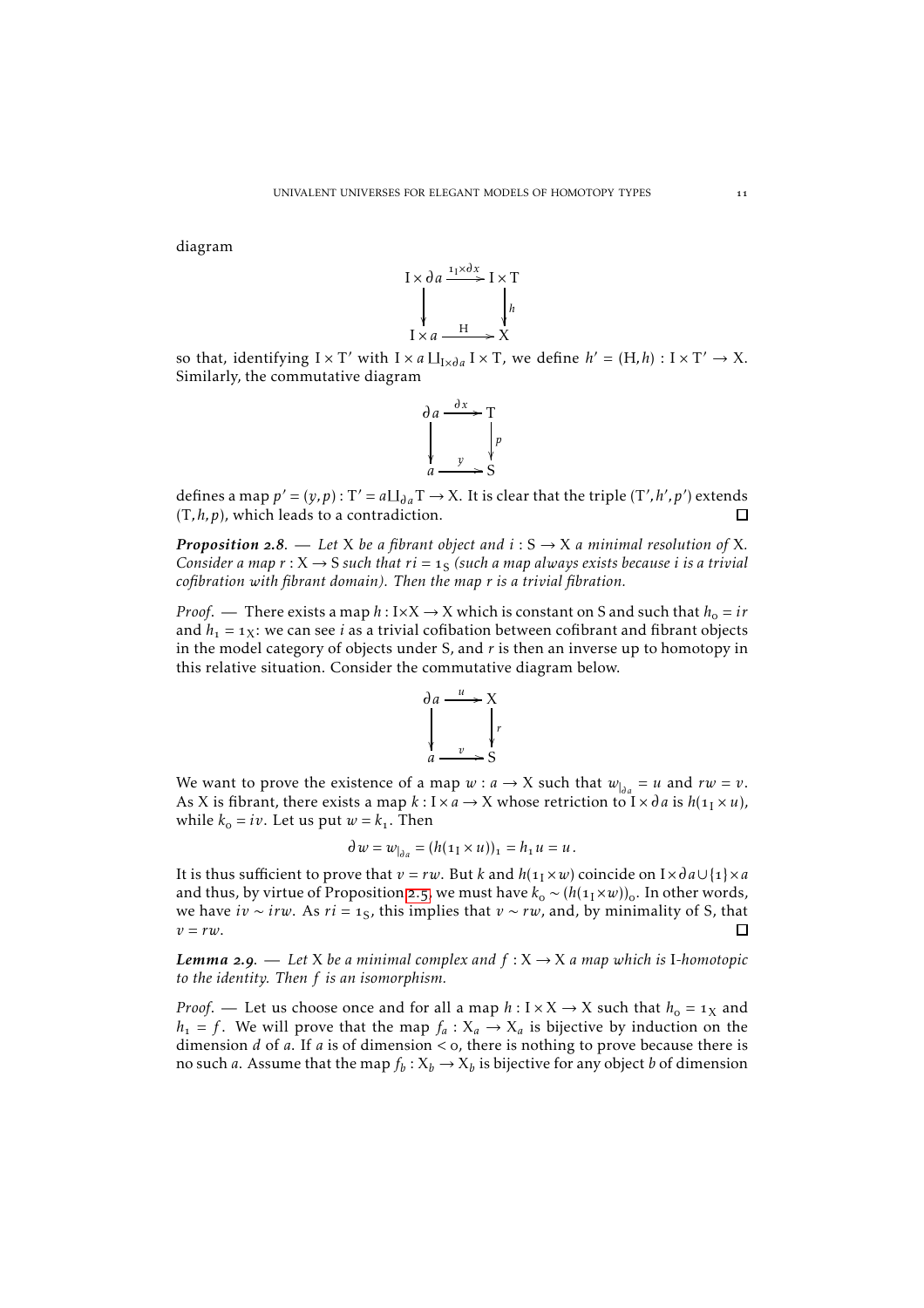diagram



so that, identifying  $I \times T'$  with  $I \times a \amalg_{I \times \partial a} I \times T$ , we define  $h' = (H,h) : I \times T' \to X$ . Similarly, the commutative diagram



defines a map  $p' = (y, p) : T' = a \Box_{\partial a} T \rightarrow X$ . It is clear that the triple  $(T', h', p')$  extends (T*,h,p*), which leads to a contradiction. П

*Proposition* 2.8. — Let X be a fibrant object and  $i: S \rightarrow X$  a minimal resolution of X. Consider a map  $r : X \to S$  such that  $ri =_{1S}$  (such a map always exists because  $i$  is a trivial *cofibration with fibrant domain). Then the map r is a trivial fibration.*

*Proof.* — There exists a map  $h: I \times X \rightarrow X$  which is constant on S and such that  $h_0 = ir$ and  $h_1 = 1$ x: we can see *i* as a trivial cofibation between cofibrant and fibrant objects in the model category of objects under S, and *r* is then an inverse up to homotopy in this relative situation. Consider the commutative diagram below.



We want to prove the existence of a map  $w : a \rightarrow X$  such that  $w_{a} = u$  and  $rw = v$ . As X is fibrant, there exists a map  $k: I \times a \rightarrow X$  whose retriction to  $I \times da$  is  $h(\mathbf{1}_I \times u)$ , while  $k_0 = iv$ . Let us put  $w = k_1$ . Then

$$
\partial w = w_{|_{\partial a}} = (h(\mathbf{1}_I \times u))_1 = h_1 u = u.
$$

It is thus sufficient to prove that  $v = rw$ . But *k* and  $h(1_1 \times w)$  coincide on I× $d \cdot a \cup \{1\} \times a$ and thus, by virtue of Proposition 2.5, we must have  $k_0 \sim (h(\mathbb{1}_I \times w))_0$ . In other words, we have *iv* ∼ *irw*. As *ri* = 1<sub>S</sub>, this implies that *v* ∼ *rw*, and, by minimality of S, that  $v = rw$ . П

*Lemma* 2.9. — Let X be a minimal complex and  $f: X \to X$  a map which is I-homotopic *to the identity. Then f is an isomorphism.*

*Proof.* — Let us choose once and for all a map  $h: I \times X \rightarrow X$  such that  $h_0 = 1_X$  and  $h_1 = f$ . We will prove that the map  $f_a: X_a \to X_a$  is bijective by induction on the dimension *d* of *a*. If *a* is of dimension < 0, there is nothing to prove because there is no such *a*. Assume that the map  $f_b: X_b \to X_b$  is bijective for any object *b* of dimension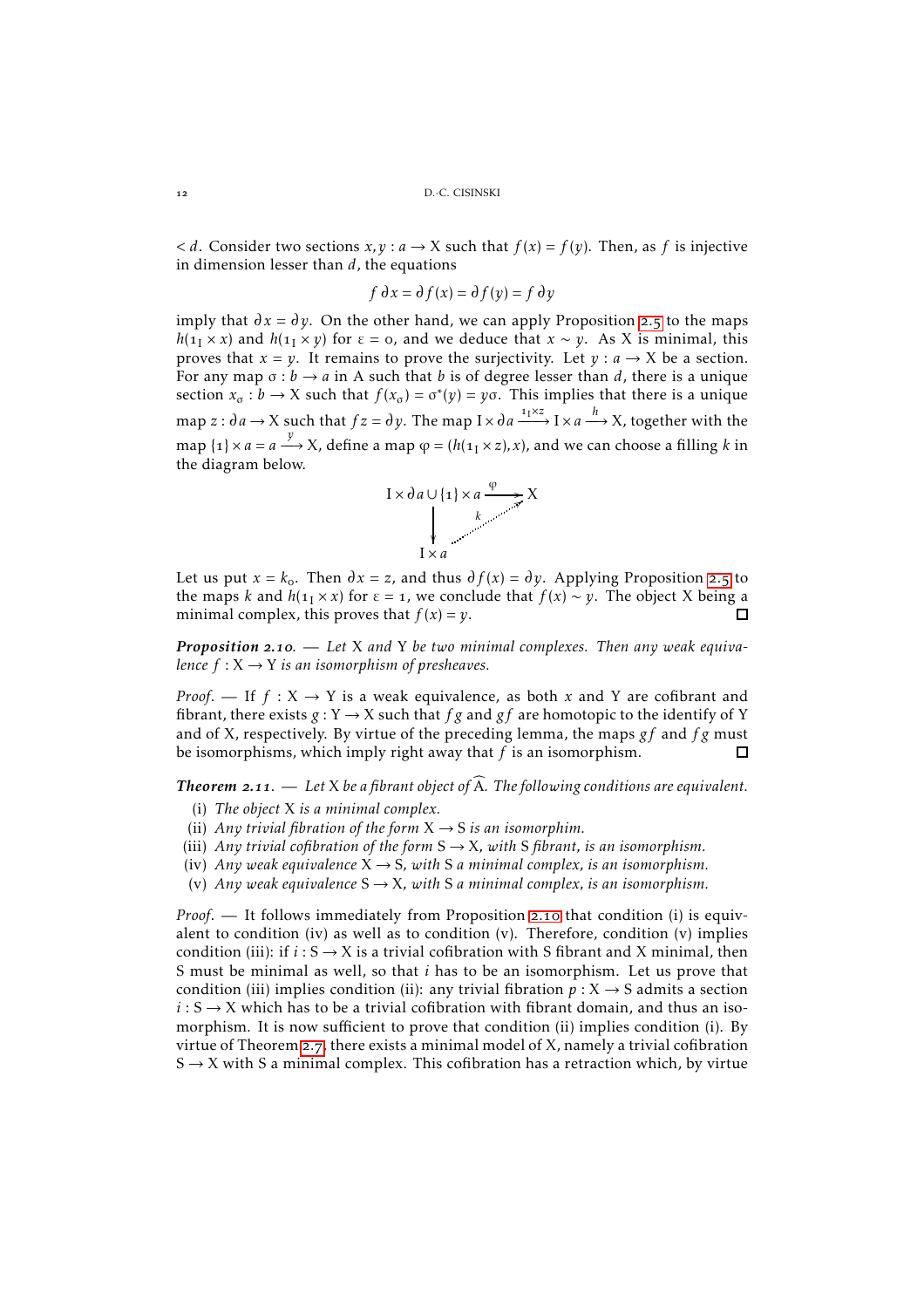$d$ . Consider two sections  $x, y : a \rightarrow X$  such that  $f(x) = f(y)$ . Then, as *f* is injective in dimension lesser than *d*, the equations

$$
f \, \partial x = \partial f(x) = \partial f(y) = f \, \partial y
$$

imply that  $\partial x = \partial y$ . On the other hand, we can apply Proposition 2.5 to the maps  $h(1<sub>1</sub> × x)$  and  $h(1<sub>1</sub> × y)$  for  $\varepsilon = 0$ , and we deduce that  $x ~ v$ . As X is minimal, this proves that  $x = y$ . It remains to prove the surjectivity. Let  $y : a \rightarrow X$  be a section. For any map  $\sigma : b \to a$  in A such that *b* is of degree lesser than *d*, there is a unique section  $x_{\sigma} : b \to X$  such that  $f(x_{\sigma}) = \sigma^*(y) = y\sigma$ . This implies that there is a unique map  $z : \partial a \to X$  such that  $f z = \partial y$ . The map  $I \times \partial a \xrightarrow{1 \cdot Y \cdot Z} I \times a \xrightarrow{h} X$ , together with the map  $\{1\} \times a = a \stackrel{y}{\longrightarrow} X$ , define a map  $\varphi = (h(\mathbb{1}_I \times z), x)$ , and we can choose a filling  $k$  in the diagram below.



Let us put  $x = k_0$ . Then  $\partial x = z$ , and thus  $\partial f(x) = \partial y$ . Applying Proposition 2.5 to the maps *k* and  $h(1 \times x)$  for  $\varepsilon = 1$ , we conclude that  $f(x) \sim y$ . The object X being a minimal complex, this proves that  $f(x) = y$ . П

*Proposition* 2.10. — Let X and Y be two minimal complexes. Then any weak equiva*lence*  $f: X \rightarrow Y$  *is an isomorphism of presheaves.* 

*Proof.* — If  $f: X \rightarrow Y$  is a weak equivalence, as both *x* and *Y* are cofibrant and fibrant, there exists  $g: Y \to X$  such that  $fg$  and  $gf$  are homotopic to the identify of Y and of X, respectively. By virtue of the preceding lemma, the maps *gf* and *f g* must be isomorphisms, which imply right away that *f* is an isomorphism. П

**Theorem 2.11.** — Let X be a fibrant object of  $\widehat{A}$ . The following conditions are equivalent.

- (i) *The object* X *is a minimal complex.*
- (ii) *Any trivial fibration of the form*  $X \rightarrow S$  *is an isomorphim.*
- (iii) *Any trivial cofibration of the form*  $S \rightarrow X$ *, with* S *fibrant*, *is an isomorphism*.
- (iv) *Any weak equivalence*  $X \rightarrow S$ *, with* S *a minimal complex, is an isomorphism.*
- (v) *Any weak equivalence*  $S \rightarrow X$ *, with* S *a minimal complex, is an isomorphism.*

*Proof.* — It follows immediately from Proposition 2.10 that condition (i) is equivalent to condition (iv) as well as to condition (v). Therefore, condition (v) implies condition (iii): if  $i: S \rightarrow X$  is a trivial cofibration with S fibrant and X minimal, then S must be minimal as well, so that *i* has to be an isomorphism. Let us prove that condition (iii) implies condition (ii): any trivial fibration  $p: X \rightarrow S$  admits a section  $i: S \rightarrow X$  which has to be a trivial cofibration with fibrant domain, and thus an isomorphism. It is now sufficient to prove that condition (ii) implies condition (i). By virtue of Theorem 2.7, there exists a minimal model of X, namely a trivial cofibration  $S \rightarrow X$  with S a minimal complex. This cofibration has a retraction which, by virtue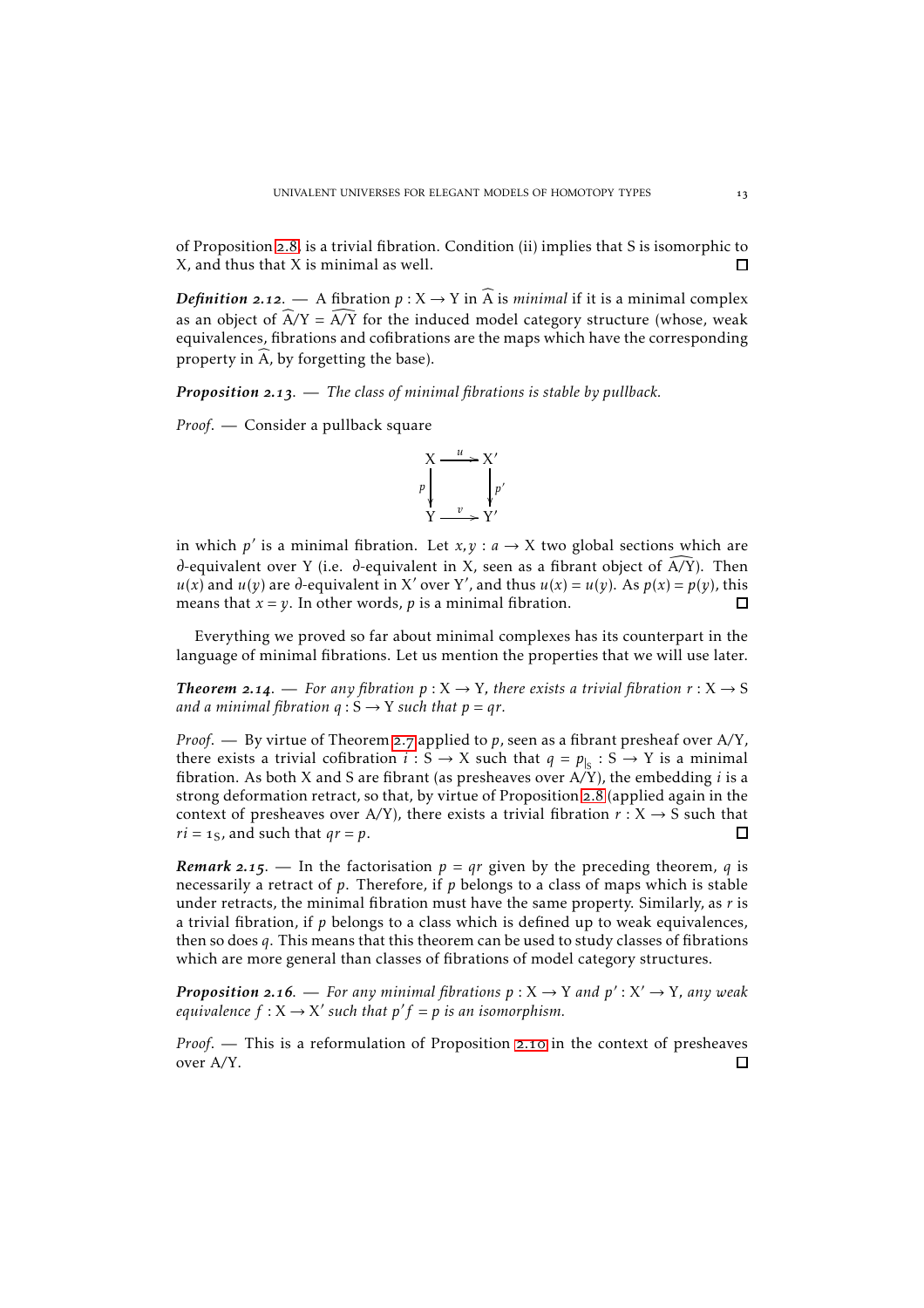of Proposition 2.8, is a trivial fibration. Condition (ii) implies that S is isomorphic to X, and thus that X is minimal as well. □

*Definition* 2.12. — A fibration  $p: X \to Y$  in  $\widehat{A}$  is *minimal* if it is a minimal complex as an object of  $\widehat{A}/Y = \widehat{A}/\widehat{Y}$  for the induced model category structure (whose, weak equivalences, fibrations and cofibrations are the maps which have the corresponding property in  $\widehat{A}$ , by forgetting the base).

*Proposition* 2.13. — *The class of minimal fibrations is stable by pullback.* 

*Proof*. — Consider a pullback square



in which  $p'$  is a minimal fibration. Let  $x, y : a \rightarrow X$  two global sections which are  $\partial$ -equivalent over Y (i.e.  $\partial$ -equivalent in X, seen as a fibrant object of A/Y). Then  $u(x)$  and  $u(y)$  are  $d$ -equivalent in X' over Y', and thus  $u(x) = u(y)$ . As  $p(x) = p(y)$ , this means that  $x = y$ . In other words, p is a minimal fibration. п

Everything we proved so far about minimal complexes has its counterpart in the language of minimal fibrations. Let us mention the properties that we will use later.

**Theorem 2.14.** — For any fibration  $p: X \to Y$ , there exists a trivial fibration  $r: X \to S$ *and a minimal fibration*  $q : S \rightarrow Y$  *such that*  $p = qr$ *.* 

*Proof.* — By virtue of Theorem 2.7 applied to *p*, seen as a fibrant presheaf over A/Y, there exists a trivial cofibration  $i : S \to X$  such that  $q = p_{\vert S} : S \to Y$  is a minimal fibration. As both X and S are fibrant (as presheaves over A*/*Y), the embedding *i* is a strong deformation retract, so that, by virtue of Proposition 2.8 (applied again in the context of presheaves over A/Y), there exists a trivial fibration  $r : X \rightarrow S$  such that □  $ri = 1_S$ , and such that  $qr = p$ .

*Remark* 2.15. — In the factorisation  $p = qr$  given by the preceding theorem, *q* is necessarily a retract of *p*. Therefore, if *p* belongs to a class of maps which is stable under retracts, the minimal fibration must have the same property. Similarly, as *r* is a trivial fibration, if *p* belongs to a class which is defined up to weak equivalences, then so does *q*. This means that this theorem can be used to study classes of fibrations which are more general than classes of fibrations of model category structures.

*Proposition* 2.16. — *For any minimal fibrations*  $p: X \rightarrow Y$  *and*  $p': X' \rightarrow Y$ *, any weak equivalence*  $f: X \to X'$  such that  $p'f = p$  *is an isomorphism.* 

*Proof.* — This is a reformulation of Proposition 2.10 in the context of presheaves over A*/*Y.П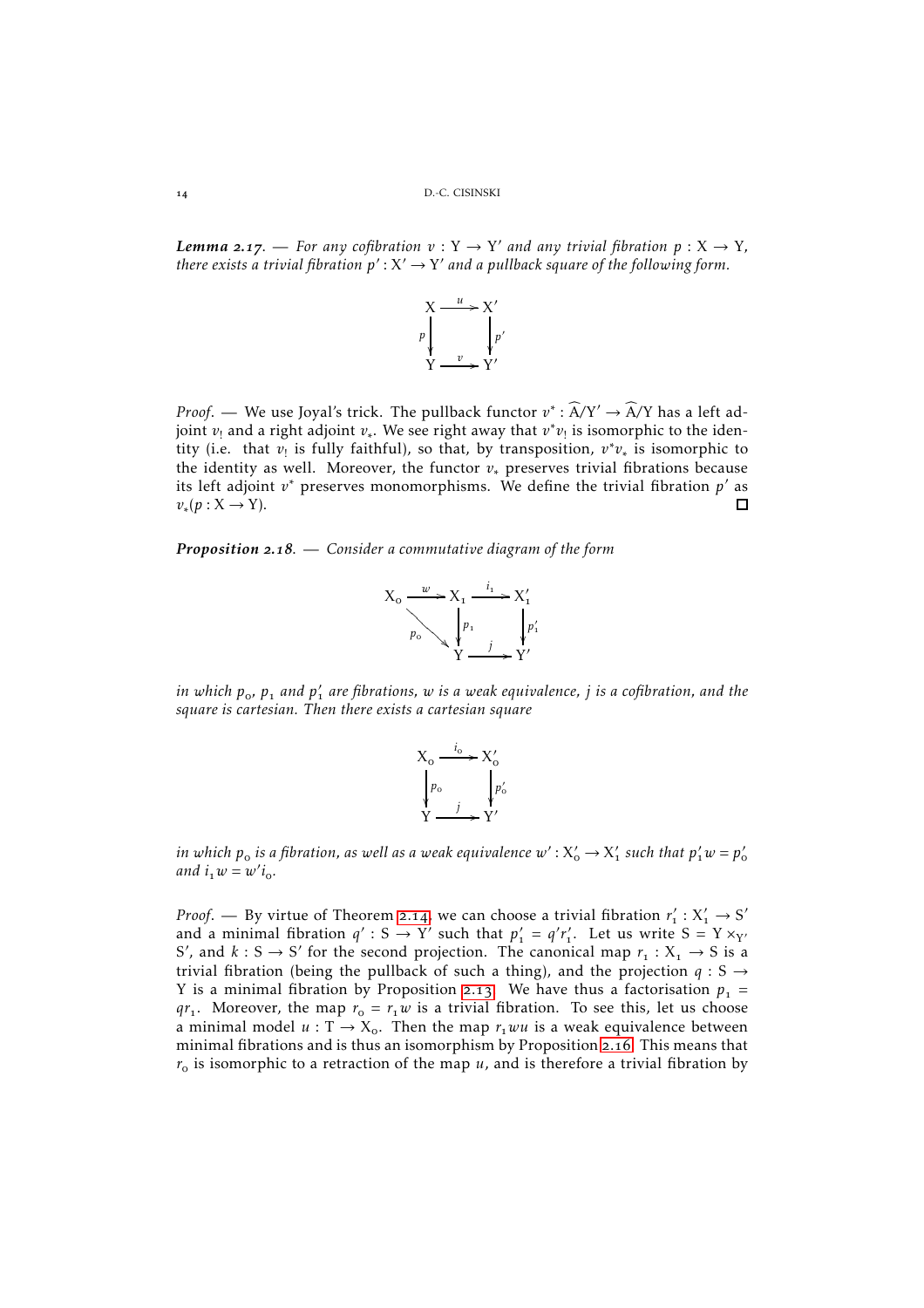*Lemma* **2.17.** — For any cofibration  $v: Y \to Y'$  and any trivial fibration  $p: X \to Y$ , there exists a trivial fibration  $p': X' \to Y'$  and a pullback square of the following form.



*Proof.* — We use Joyal's trick. The pullback functor  $v^* : \widehat{A}/Y' \to \widehat{A}/Y$  has a left adjoint *v*! and a right adjoint *v*<sup>∗</sup> . We see right away that *v* ∗ *v*! is isomorphic to the identity (i.e. that *v*<sub>!</sub> is fully faithful), so that, by transposition, *v*<sup>∗</sup>*v*<sub>∗</sub> is isomorphic to the identity as well. Moreover, the functor  $v_*$  preserves trivial fibrations because its left adjoint *v* <sup>∗</sup> preserves monomorphisms. We define the trivial fibration *p* ′ as  $v_*(p: X \to Y).$ П

*Proposition* 2.18. — *Consider a commutative diagram of the form* 



*in which p, p and p* ′ *are fibrations, w is a weak equivalence, j is a cofibration, and the square is cartesian. Then there exists a cartesian square*



in which  $p_o$  is a fibration, as well as a weak equivalence  $w'$  :  $X'_o \to X'_1$  such that  $p'_1w = p'_o$ *and*  $i_1 w = w'i_0$ .

*Proof.* — By virtue of Theorem 2.14, we can choose a trivial fibration  $r'_1 : X'_1 \to S'$ and a minimal fibration  $q' : S \to Y'$  such that  $p'_1 = q'r'_1$ . Let us write  $S = Y \times_{Y'} q$ S', and  $k : S \to S'$  for the second projection. The canonical map  $r_1 : X_1 \to S$  is a trivial fibration (being the pullback of such a thing), and the projection  $q : S \rightarrow$ Y is a minimal fibration by Proposition 2.13. We have thus a factorisation  $p_1 =$  $qr_1$ . Moreover, the map  $r_0 = r_1w$  is a trivial fibration. To see this, let us choose a minimal model  $u : T \rightarrow X_0$ . Then the map  $r<sub>1</sub>wu$  is a weak equivalence between minimal fibrations and is thus an isomorphism by Proposition 2.16. This means that  $r<sub>o</sub>$  is isomorphic to a retraction of the map *u*, and is therefore a trivial fibration by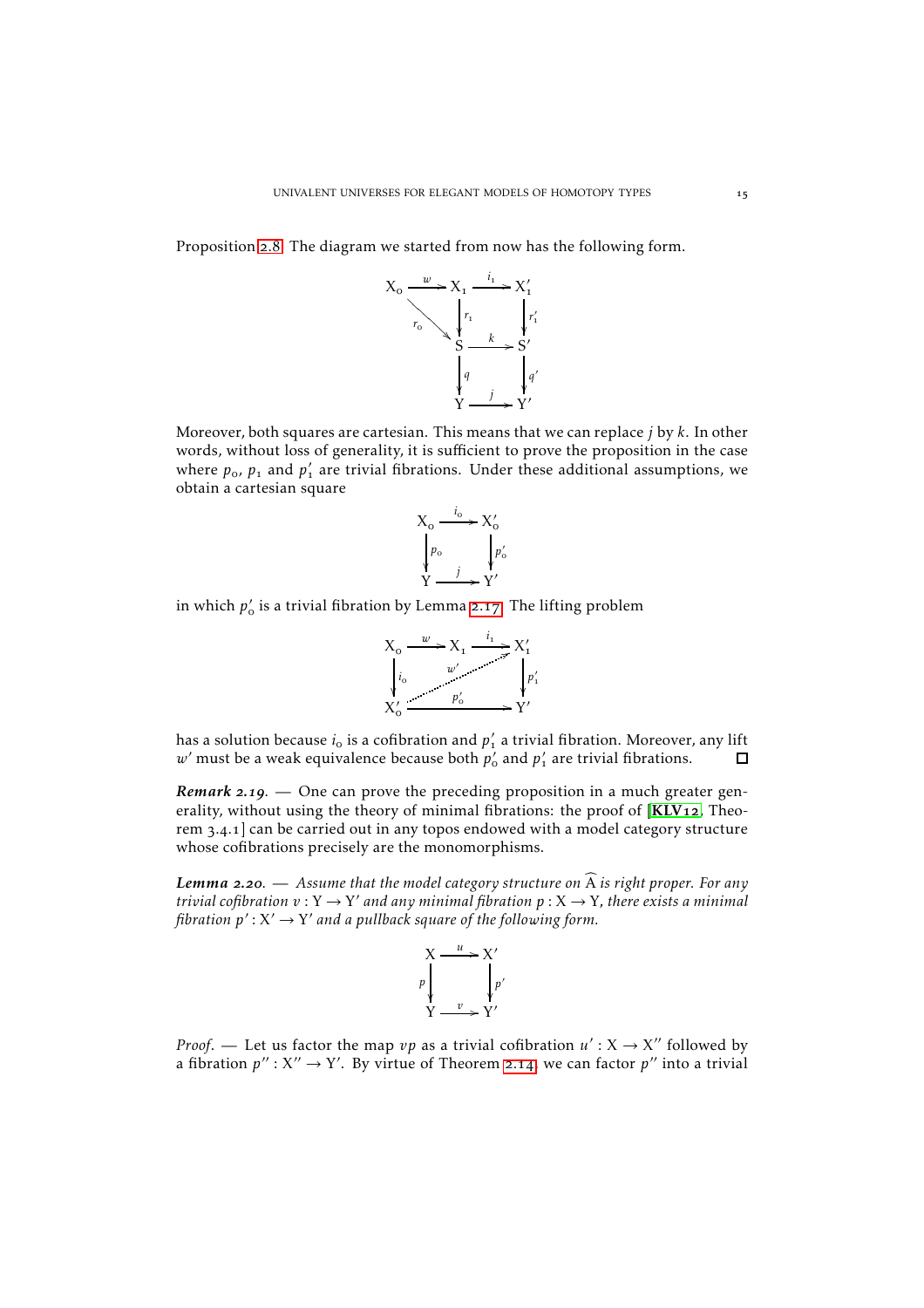Proposition 2.8. The diagram we started from now has the following form.



Moreover, both squares are cartesian. This means that we can replace *j* by *k*. In other words, without loss of generality, it is sufficient to prove the proposition in the case where  $p_o$ ,  $p_1$  and  $p'_1$  are trivial fibrations. Under these additional assumptions, we obtain a cartesian square



in which  $p'_o$  is a trivial fibration by Lemma 2.17. The lifting problem



has a solution because  $i_{\rm o}$  is a cofibration and  $p'_{\rm i}$  a trivial fibration. Moreover, any lift  $w'$  must be a weak equivalence because both  $p'_0$  and  $p'_1$  are trivial fibrations.  $\Box$ 

*Remark* 2.19. — One can prove the preceding proposition in a much greater generality, without using the theory of minimal fibrations: the proof of  $[KLV12, Theo [KLV12, Theo [KLV12, Theo$ rem  $3.4.1$ ] can be carried out in any topos endowed with a model category structure whose cofibrations precisely are the monomorphisms.

*Lemma* 2.20. — Assume that the model category structure on  $\widehat{A}$  is right proper. For any *trivial cofibration*  $v: Y \to Y'$  *and any minimal fibration*  $p: X \to Y$ *, there exists a minimal* fibration  $p': X' \to Y'$  and a pullback square of the following form.



*Proof.* — Let us factor the map  $vp$  as a trivial cofibration  $u': X \to X''$  followed by a fibration  $p'' : X'' \to Y'$ . By virtue of Theorem 2.14, we can factor  $p''$  into a trivial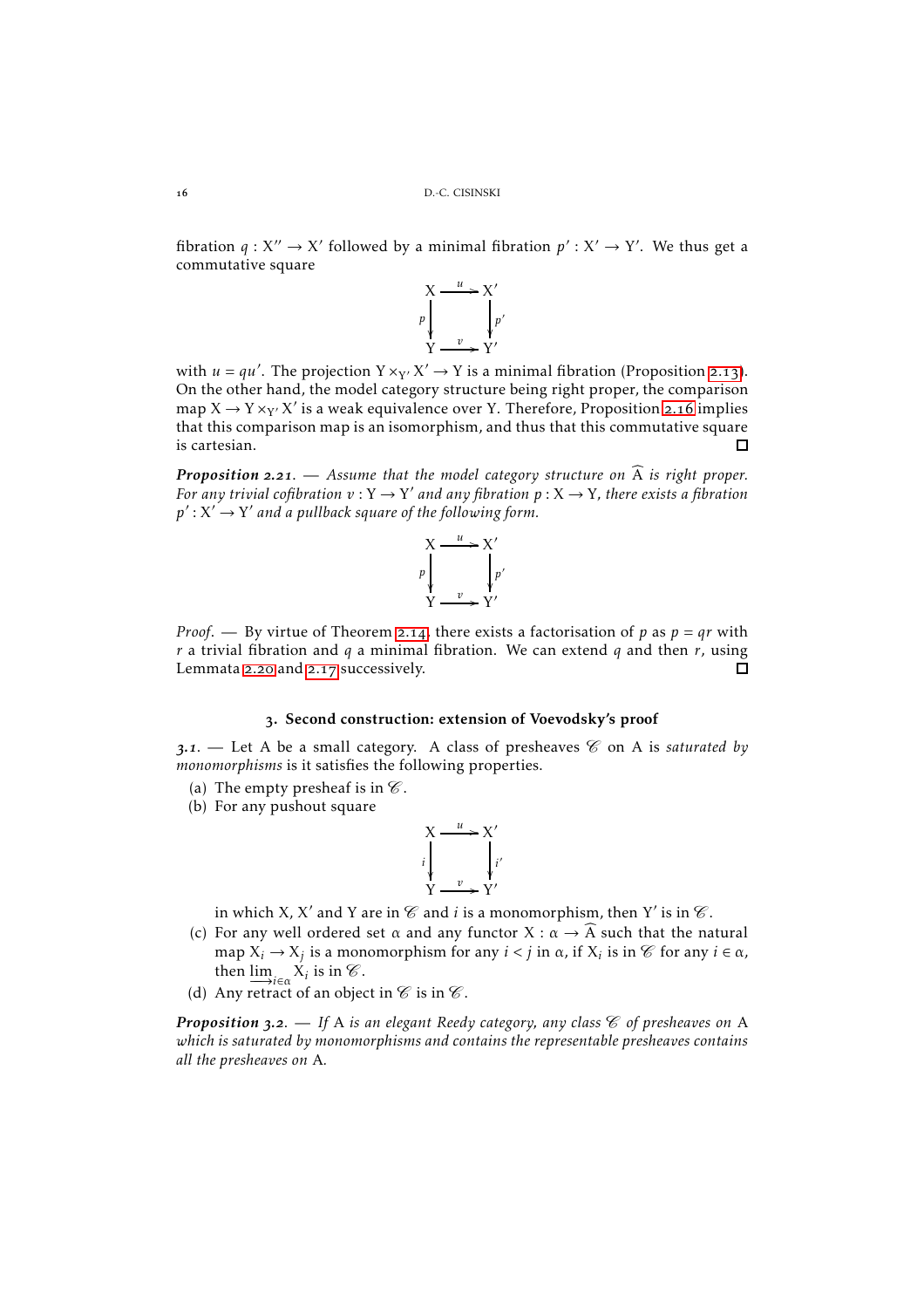fibration  $q: X'' \to X'$  followed by a minimal fibration  $p': X' \to Y'$ . We thus get a commutative square



with  $u = qu'$ . The projection  $Y \times_{Y'} X' \to Y$  is a minimal fibration (Proposition 2.13). On the other hand, the model category structure being right proper, the comparison map  $X \to Y \times_{Y'} X'$  is a weak equivalence over Y. Therefore, Proposition 2.16 implies that this comparison map is an isomorphism, and thus that this commutative square is cartesian. П

*Proposition* 2.21. — Assume that the model category structure on  $\widehat{A}$  is right proper. For any trivial cofibration  $v: Y \to Y'$  and any fibration  $p: X \to Y$ , there exists a fibration  $p^\prime \colon X^\prime \,{\to}\, Y^\prime$  and a pullback square of the following form.



*Proof.* — By virtue of Theorem 2.14, there exists a factorisation of *p* as  $p = qr$  with *r* a trivial fibration and *q* a minimal fibration. We can extend *q* and then *r*, using Lemmata 2.20 and 2.17 successively. П

#### . Second construction: extension of Voevodsky's proof

<span id="page-15-0"></span>**3.1.** — Let A be a small category. A class of presheaves  $\mathscr{C}$  on A is *saturated by monomorphisms* is it satisfies the following properties.

- (a) The empty presheaf is in  $\mathcal C$ .
- (b) For any pushout square

$$
X \xrightarrow{u} X'
$$
\n
$$
i \downarrow \qquad \qquad i'
$$
\n
$$
Y \xrightarrow{v} Y'
$$

in which X, X' and Y are in  $\mathscr C$  and  $i$  is a monomorphism, then Y' is in  $\mathscr C$ .

- (c) For any well ordered set  $\alpha$  and any functor  $X : \alpha \to \widehat{A}$  such that the natural map  $X_i \to X_j$  is a monomorphism for any  $i < j$  in  $\alpha$ , if  $X_i$  is in  $\mathscr C$  for any  $i \in \alpha$ , then  $\lim_{i \in \alpha} X_i$  is in  $\mathscr{C}$ .
- (d) Any retract of an object in  $\mathscr C$  is in  $\mathscr C$ .

*Proposition* 3.2. — If A *is an elegant Reedy category, any class*  $\mathscr C$  *of presheaves on* A *which is saturated by monomorphisms and contains the representable presheaves contains all the presheaves on* A*.*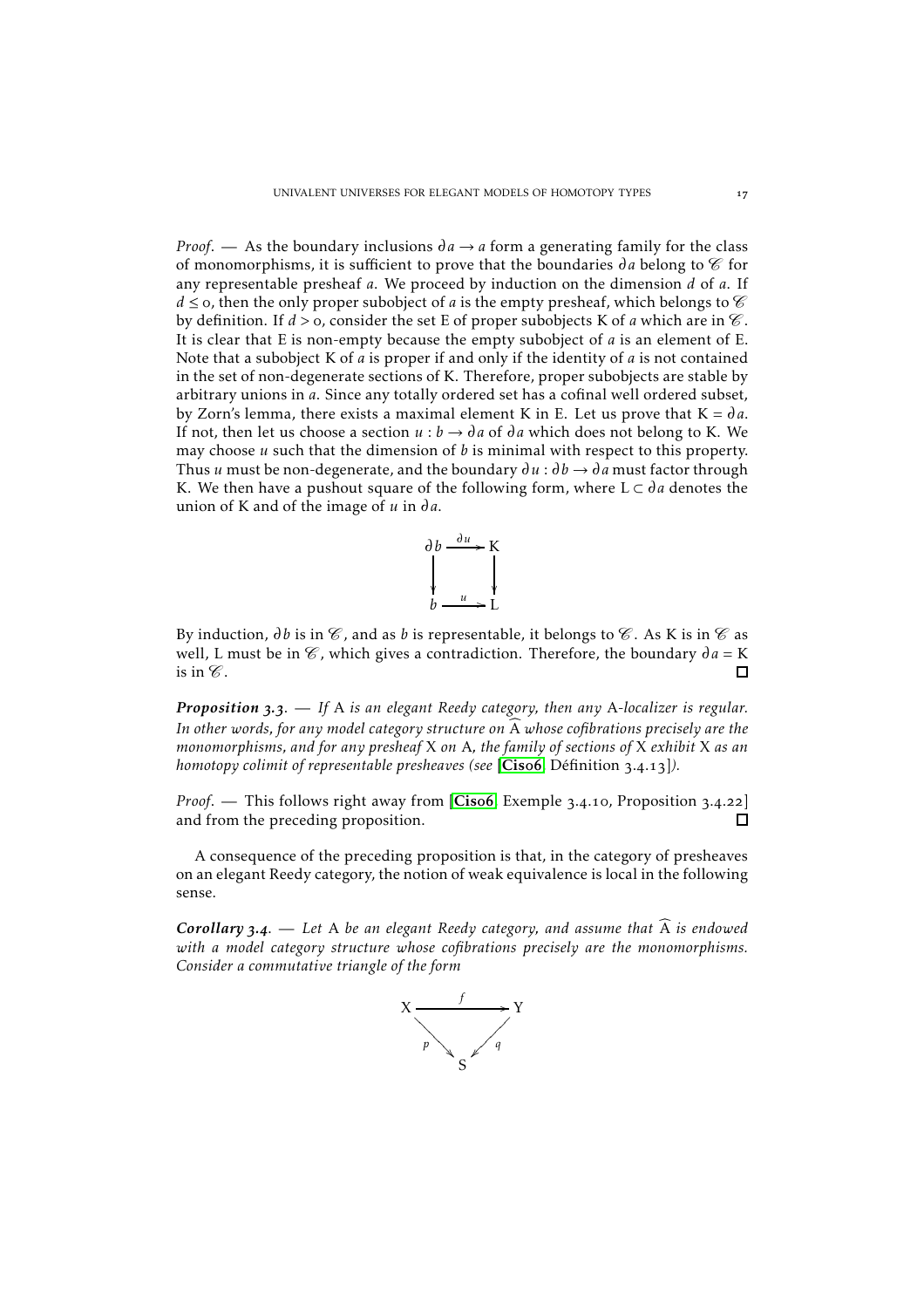*Proof.* — As the boundary inclusions  $\partial a \rightarrow a$  form a generating family for the class of monomorphisms, it is sufficient to prove that the boundaries  $\partial a$  belong to  $\mathscr{C}$  for any representable presheaf *a*. We proceed by induction on the dimension *d* of *a*. If *d*  $\le$  0, then the only proper subobject of *a* is the empty presheaf, which belongs to  $\mathscr C$ by definition. If  $d > o$ , consider the set E of proper subobjects K of *a* which are in  $\mathcal C$ . It is clear that E is non-empty because the empty subobject of *a* is an element of E. Note that a subobject K of *a* is proper if and only if the identity of *a* is not contained in the set of non-degenerate sections of K. Therefore, proper subobjects are stable by arbitrary unions in *a*. Since any totally ordered set has a cofinal well ordered subset, by Zorn's lemma, there exists a maximal element K in E. Let us prove that  $K = da$ . If not, then let us choose a section  $u : b \to da$  of  $da$  which does not belong to K. We may choose *u* such that the dimension of *b* is minimal with respect to this property. Thus *u* must be non-degenerate, and the boundary  $\partial u : \partial b \rightarrow \partial a$  must factor through K. We then have a pushout square of the following form, where  $L \subset da$  denotes the union of K and of the image of  $u$  in  $da$ .



By induction,  $\partial b$  is in  $\mathcal C$ , and as  $b$  is representable, it belongs to  $\mathcal C$ . As K is in  $\mathcal C$  as well, L must be in  $\mathcal{C}$ , which gives a contradiction. Therefore, the boundary  $\partial a = K$ is in  $\mathscr C$ .  $\Box$ 

*Proposition* 3.3. — If A *is an elegant Reedy category, then any A-localizer is regular.* In other words, for any model category structure on  $\widehat{A}$  whose cofibrations precisely are the *monomorphisms, and for any presheaf* X *on* A*, the family of sections of* X *exhibit* X *as an homotopy colimit of representable presheaves (see [[Cis](#page-24-7)o6, Définition 3.4.13]).* 

*Proof.* — This follows right away from [[Cis](#page-24-7)o6, Exemple 3.4.10, Proposition 3.4.22] and from the preceding proposition.  $\Box$ 

A consequence of the preceding proposition is that, in the category of presheaves on an elegant Reedy category, the notion of weak equivalence is local in the following sense.

*Corollary* **3.4.** — Let A be an elegant Reedy category, and assume that  $\widehat{A}$  is endowed *with a model category structure whose cofibrations precisely are the monomorphisms. Consider a commutative triangle of the form*

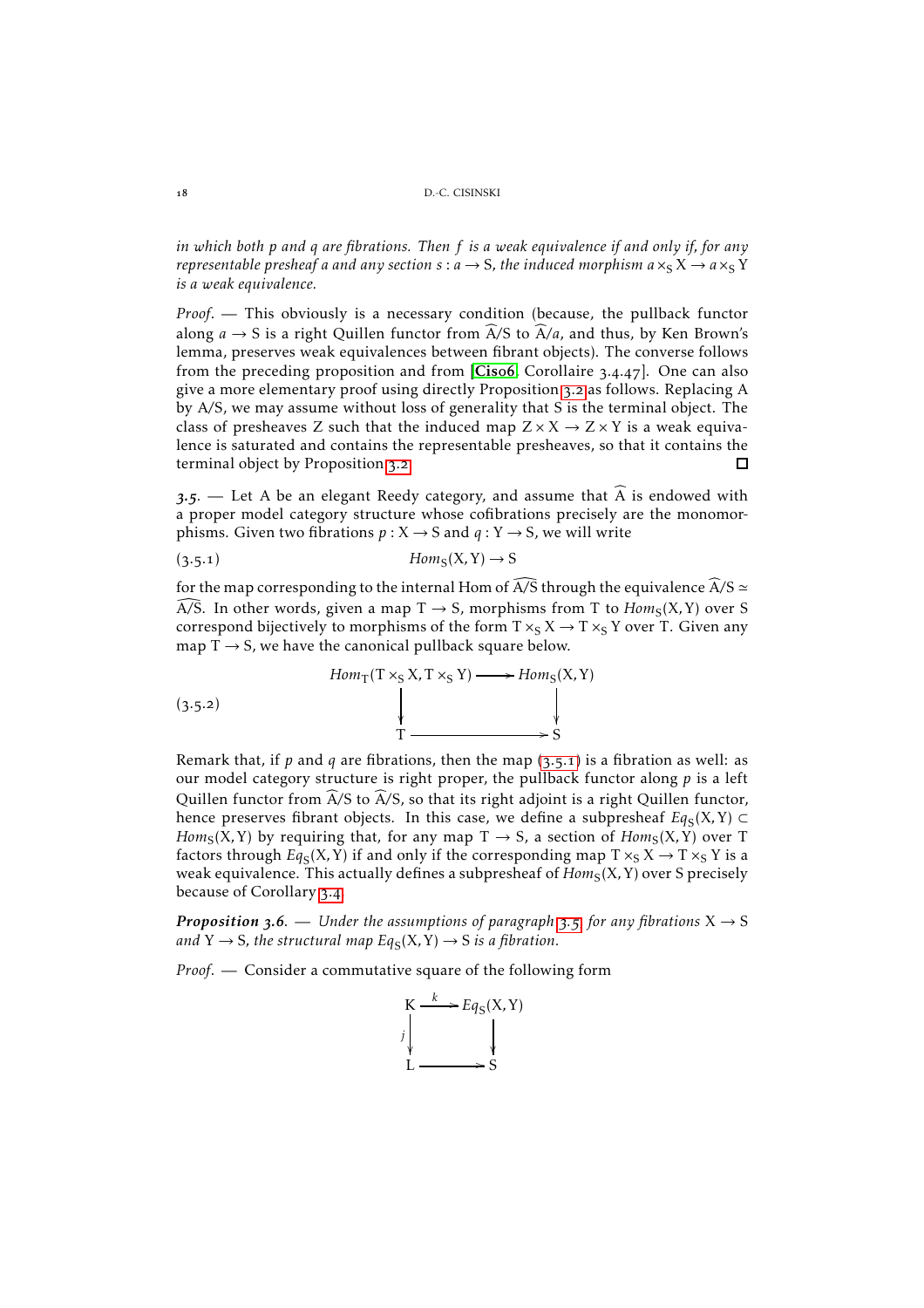*in which both p and q are fibrations. Then f is a weak equivalence if and only if, for any representable presheaf a and any section*  $s : a \rightarrow S$ , the induced morphism  $a \times_S X \rightarrow a \times_S Y$ *is a weak equivalence.*

*Proof*. — This obviously is a necessary condition (because, the pullback functor along  $a \to S$  is a right Quillen functor from  $\widehat{A}/S$  to  $\widehat{A}/a$ , and thus, by Ken Brown's lemma, preserves weak equivalences between fibrant objects). The converse follows from the preceding proposition and from  $[Cisof, Corollaire 3.4.47]$  $[Cisof, Corollaire 3.4.47]$  $[Cisof, Corollaire 3.4.47]$ . One can also give a more elementary proof using directly Proposition 3.2 as follows. Replacing A by A*/*S, we may assume without loss of generality that S is the terminal object. The class of presheaves Z such that the induced map  $Z \times X \rightarrow Z \times Y$  is a weak equivalence is saturated and contains the representable presheaves, so that it contains the terminal object by Proposition 3.2.  $\Gamma$ 

 $3.5$  – Let A be an elegant Reedy category, and assume that A is endowed with a proper model category structure whose cofibrations precisely are the monomorphisms. Given two fibrations  $p: X \rightarrow S$  and  $q: Y \rightarrow S$ , we will write

<span id="page-17-0"></span>
$$
(3.5.1) \t\t\t Hom_S(X,Y) \to S
$$

for the map corresponding to the internal Hom of  $\widehat{A/S}$  through the equivalence  $\widehat{A/S}$  ≃  $\widehat{A/S}$ . In other words, given a map  $T \to S$ , morphisms from T to  $Hom_S(X, Y)$  over S correspond bijectively to morphisms of the form  $T \times_S X \to T \times_S Y$  over T. Given any map  $T \rightarrow S$ , we have the canonical pullback square below.



Remark that, if  $p$  and  $q$  are fibrations, then the map  $(3.5.1)$  is a fibration as well: as our model category structure is right proper, the pullback functor along *p* is a left Quillen functor from  $\widehat{A}/S$  to  $\widehat{A}/S$ , so that its right adjoint is a right Quillen functor, hence preserves fibrant objects. In this case, we define a subpresheaf  $Eq_{S}(X,Y) \subset$  $Hom_S(X, Y)$  by requiring that, for any map  $T \rightarrow S$ , a section of  $Hom_S(X, Y)$  over  $T$ factors through  $Eq_{S}(X,Y)$  if and only if the corresponding map  $T\times_{S}X\rightarrow T\times_{S}Y$  is a weak equivalence. This actually defines a subpresheaf of  $Hom_{\mathcal S}(\mathcal X,\mathcal Y)$  over S precisely because of Corollary 3.4.

*Proposition* 3.6. — *Under the assumptions of paragraph* 3.5, for any fibrations  $X \rightarrow S$ and  $Y \to S$ , the structural map  $Eq_S(X, Y) \to S$  is a fibration.

*Proof*. — Consider a commutative square of the following form

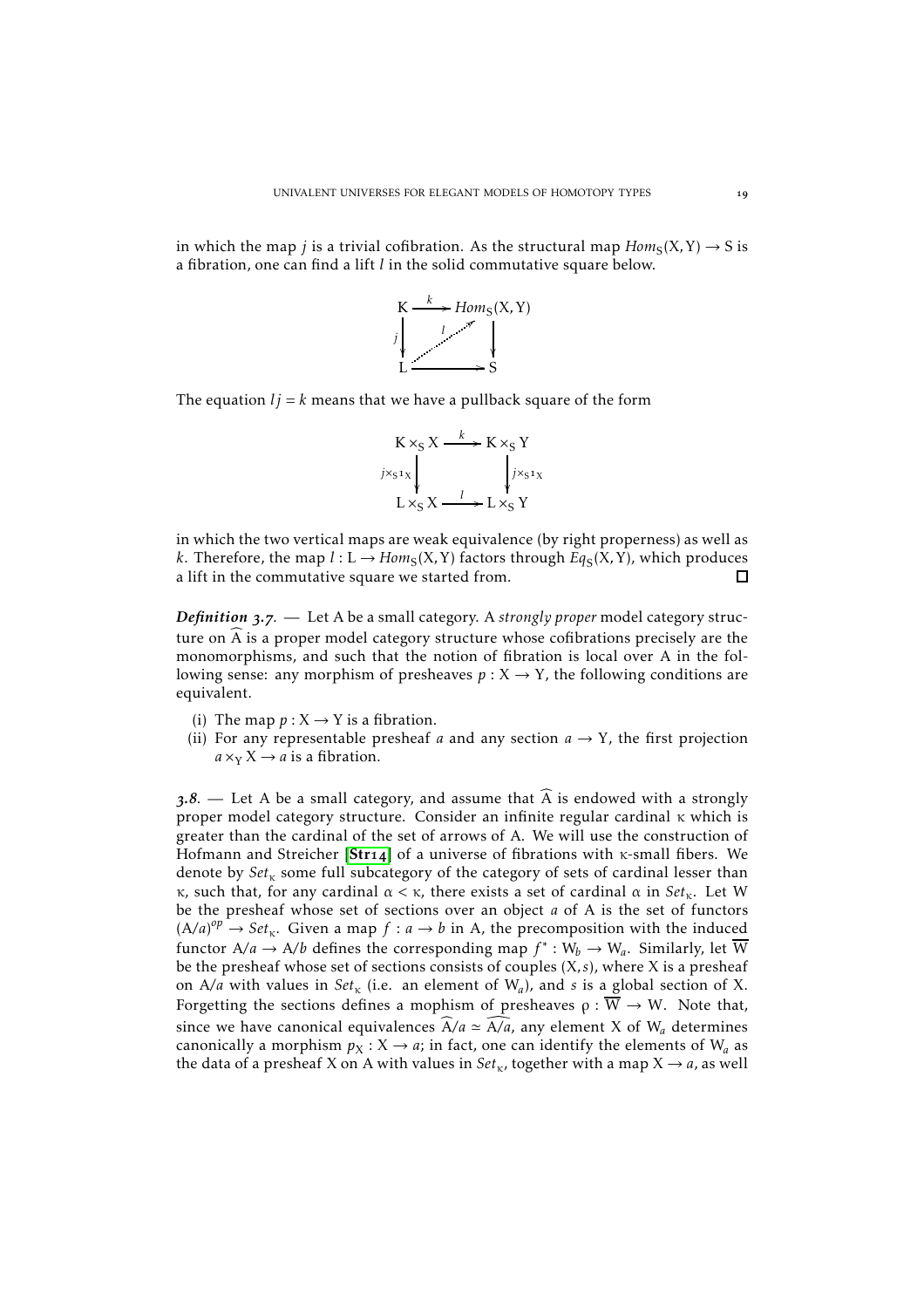in which the map  $j$  is a trivial cofibration. As the structural map  $Hom_S(X,Y) \to S$  is a fibration, one can find a lift *l* in the solid commutative square below.



The equation  $l<sub>j</sub> = k$  means that we have a pullback square of the form

$$
K \times_S X \xrightarrow{k} K \times_S Y
$$
  
\n
$$
j \times_{S^1 X} \downarrow \qquad j \times_{S^1 X}
$$
  
\n
$$
L \times_S X \xrightarrow{l} L \times_S Y
$$

in which the two vertical maps are weak equivalence (by right properness) as well as *k*. Therefore, the map  $l: L \to Hom_S(X, Y)$  factors through  $Eq_S(X, Y)$ , which produces a lift in the commutative square we started from.  $\Box$ 

*Definition* 3.7. — Let A be a small category. A *strongly proper* model category structure on  $\widehat{A}$  is a proper model category structure whose cofibrations precisely are the monomorphisms, and such that the notion of fibration is local over A in the following sense: any morphism of presheaves  $p: X \to Y$ , the following conditions are equivalent.

- (i) The map  $p: X \rightarrow Y$  is a fibration.
- (ii) For any representable presheaf *a* and any section  $a \rightarrow Y$ , the first projection  $a \times_Y X \rightarrow a$  is a fibration.

 $.3.8.$  — Let A be a small category, and assume that  $\widehat{A}$  is endowed with a strongly proper model category structure. Consider an infinite regular cardinal κ which is greater than the cardinal of the set of arrows of A. We will use the construction of Hofmann and [Str](#page-24-14)eicher [Str14] of a universe of fibrations with  $\kappa$ -small fibers. We denote by  $Set_{\kappa}$  some full subcategory of the category of sets of cardinal lesser than κ, such that, for any cardinal α *<* κ, there exists a set of cardinal α in *Set*κ. Let W be the presheaf whose set of sections over an object *a* of A is the set of functors  $(A/a)^{op} \rightarrow Set_{\kappa}$ . Given a map  $f : a \rightarrow b$  in A, the precomposition with the induced functor A/a  $\rightarrow$  A/b defines the corresponding map  $f^*:W_b\rightarrow W_a.$  Similarly, let  $\overline{W}$ be the presheaf whose set of sections consists of couples (X*, s*), where X is a presheaf on A/a with values in  $Set_{\kappa}$  (i.e. an element of W<sub>a</sub>), and *s* is a global section of X. Forgetting the sections defines a mophism of presheaves  $\rho : \overline{\tilde{W}} \to W$ . Note that, since we have canonical equivalences  $\widehat{A}/a \simeq \widehat{A/a}$ , any element X of W<sub>a</sub> determines canonically a morphism  $p_X : X \to a$ ; in fact, one can identify the elements of  $W_a$  as the data of a presheaf X on A with values in  $Set<sub>k</sub>$ , together with a map  $X \rightarrow a$ , as well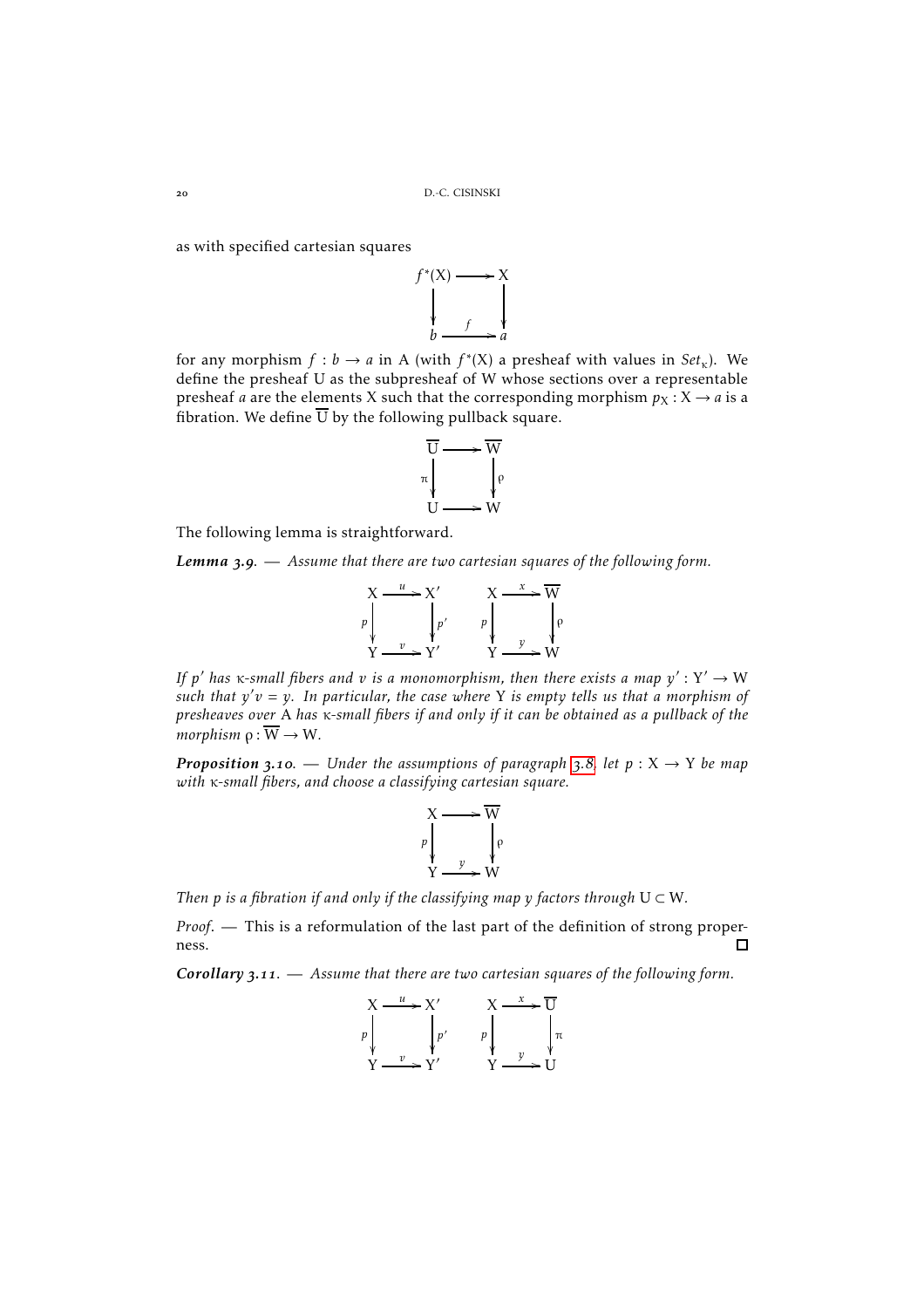as with specified cartesian squares



for any morphism  $f : b \to a$  in A (with  $f^*(X)$  a presheaf with values in  $Set_{\kappa}$ ). We define the presheaf U as the subpresheaf of W whose sections over a representable presheaf *a* are the elements X such that the corresponding morphism  $p_X : X \to a$  is a fibration. We define  $\overline{U}$  by the following pullback square.



The following lemma is straightforward.

*Lemma .*. — *Assume that there are two cartesian squares of the following form.*



*If p' has*  $\kappa$ *-small fibers and*  $v$  *<i>is a monomorphism, then there exists a map*  $y': Y' \to W$ *such that y* ′*v* = *y. In particular, the case where* Y *is empty tells us that a morphism of presheaves over* A *has* κ*-small fibers if and only if it can be obtained as a pullback of the morphism*  $\rho : \overline{W} \to W$ .

*Proposition* 3.10. — *Under the assumptions of paragraph* 3.8, let  $p: X \rightarrow Y$  *be map with* κ*-small fibers, and choose a classifying cartesian square.*

$$
X \longrightarrow \overline{W}
$$
\n
$$
P \downarrow \qquad \qquad P \downarrow \qquad P
$$
\n
$$
Y \longrightarrow W
$$

*Then p is a fibration if and only if the classifying map*  $\gamma$  *<i>factors through*  $U \subset W$ *.* 

*Proof*. — This is a reformulation of the last part of the definition of strong properness.  $\Box$ 

*Corollary* 3.11. — Assume that there are two cartesian squares of the following form.

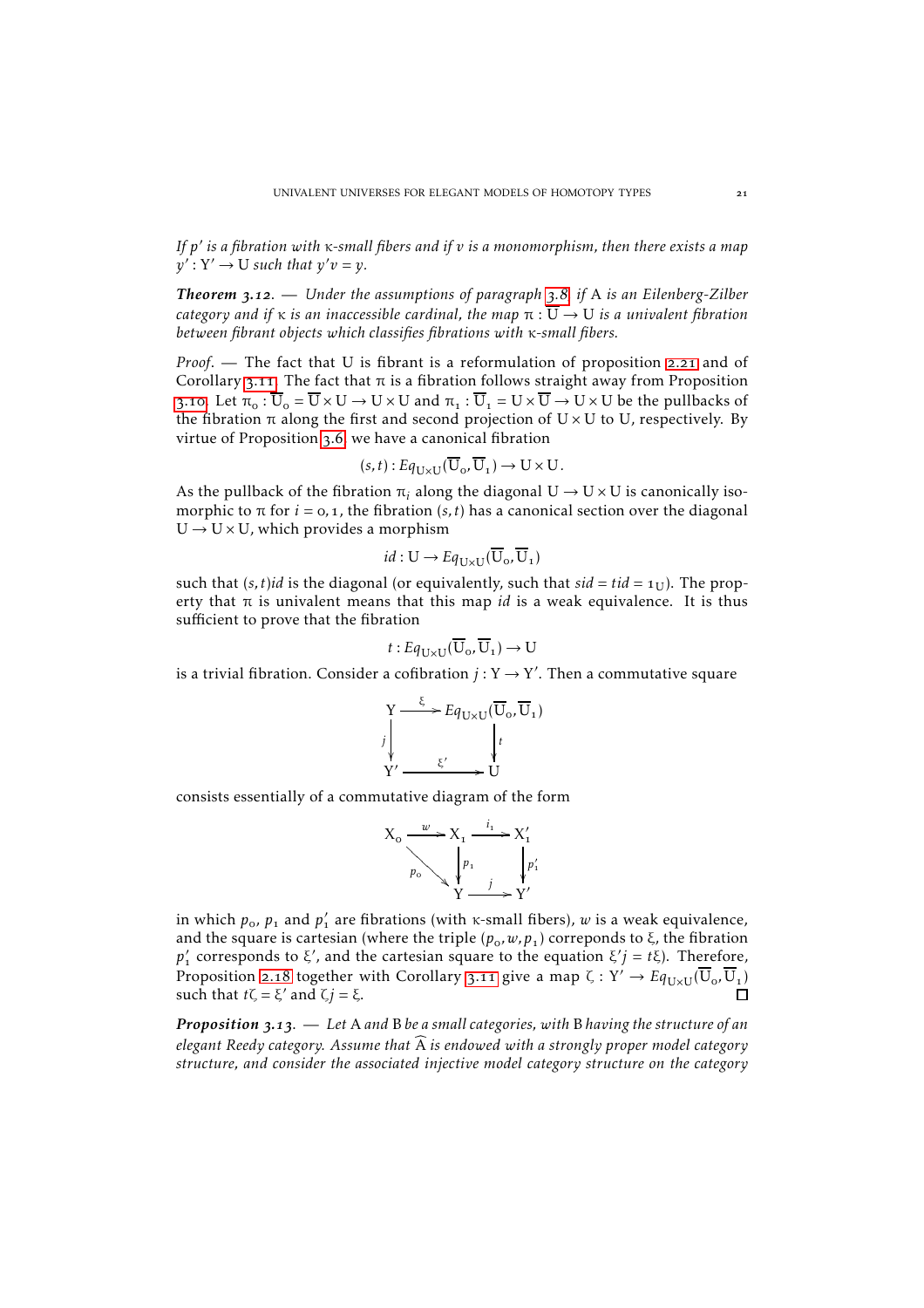*If p* ′ *is a fibration with* κ*-small fibers and if v is a monomorphism, then there exists a map*  $y'$ :  $Y' \rightarrow U$  *such that*  $y'v = y$ *.* 

*Theorem* 3.12. — *Under the assumptions of paragraph* 3.8, if A *is an Eilenberg-Zilber category and if*  $\kappa$  *is an inaccessible cardinal, the map*  $\pi : \overline{U} \to U$  *is a univalent fibration between fibrant objects which classifies fibrations with* κ*-small fibers.*

*Proof.* — The fact that U is fibrant is a reformulation of proposition 2.21 and of Corollary 3.11. The fact that  $\pi$  is a fibration follows straight away from Proposition 3.10. Let  $\pi_0 : \overline{U}_0 = \overline{U} \times U \to U \times U$  and  $\pi_1 : \overline{U}_1 = U \times \overline{U} \to U \times U$  be the pullbacks of the fibration  $\pi$  along the first and second projection of U  $\times$  U to U, respectively. By virtue of Proposition 3.6, we have a canonical fibration

$$
(s,t): Eq_{\mathbf{U}\times\mathbf{U}}(\overline{\mathbf{U}}_o, \overline{\mathbf{U}}_1) \to \mathbf{U}\times\mathbf{U}.
$$

As the pullback of the fibration  $\pi_i$  along the diagonal  $U \rightarrow U \times U$  is canonically isomorphic to  $\pi$  for  $i = 0, 1$ , the fibration  $(s, t)$  has a canonical section over the diagonal  $U \rightarrow U \times U$ , which provides a morphism

$$
id: U \to Eq_{U \times U}(\overline{U}_{0}, \overline{U}_{1})
$$

such that  $(s, t)$ *id* is the diagonal (or equivalently, such that  $sid = tid = 1$ <sub>I</sub>). The property that  $\pi$  is univalent means that this map *id* is a weak equivalence. It is thus sufficient to prove that the fibration

$$
t:Eq_{\mathbf{U}\times\mathbf{U}}(\overline{\mathbf{U}}_o,\overline{\mathbf{U}}_1)\to\mathbf{U}
$$

is a trivial fibration. Consider a cofibration  $j: Y \rightarrow Y'$ . Then a commutative square

$$
Y \xrightarrow{\xi} Eq_{U \times U}(\overline{U}_{o}, \overline{U}_{1})
$$
\n
$$
y' \xrightarrow{\xi'} \overline{U}
$$
\n
$$
Y' \xrightarrow{\xi'} \overline{U}
$$

consists essentially of a commutative diagram of the form

$$
X_0 \xrightarrow{\phantom{a}\smash[b]{w}} X_1 \xrightarrow{\phantom{a}\smash[b]{i_1}} X_1'
$$
\n
$$
\downarrow p_0
$$
\n
$$
\downarrow p_1
$$
\n
$$
\downarrow p_2
$$
\n
$$
\downarrow p_3
$$
\n
$$
\downarrow p_4
$$
\n
$$
\downarrow p_5
$$
\n
$$
\downarrow p_6
$$
\n
$$
\downarrow p_7
$$
\n
$$
\downarrow p_7
$$

in which  $p_o$ ,  $p_1$  and  $p'_1$  are fibrations (with  $\kappa$ -small fibers),  $w$  is a weak equivalence, and the square is cartesian (where the triple  $(p_0, w, p_1)$  correponds to  $\xi$ , the fibration *p*<sup>'</sup><sub>1</sub> corresponds to ξ', and the cartesian square to the equation ξ' $j = t$ ξ). Therefore, Proposition 2.18 together with Corollary 3.11 give a map  $\zeta:Y'\to Eq_{U\times U}(\overline{U}_{o},\overline{U}_{1})$ such that  $t\zeta = \xi'$  and  $\zeta j = \xi$ .

*Proposition .*. — *Let* A *and* B *be a small categories, with* B *having the structure of an elegant Reedy category. Assume that*  $\widehat{A}$  *is endowed with a strongly proper model category structure, and consider the associated injective model category structure on the category*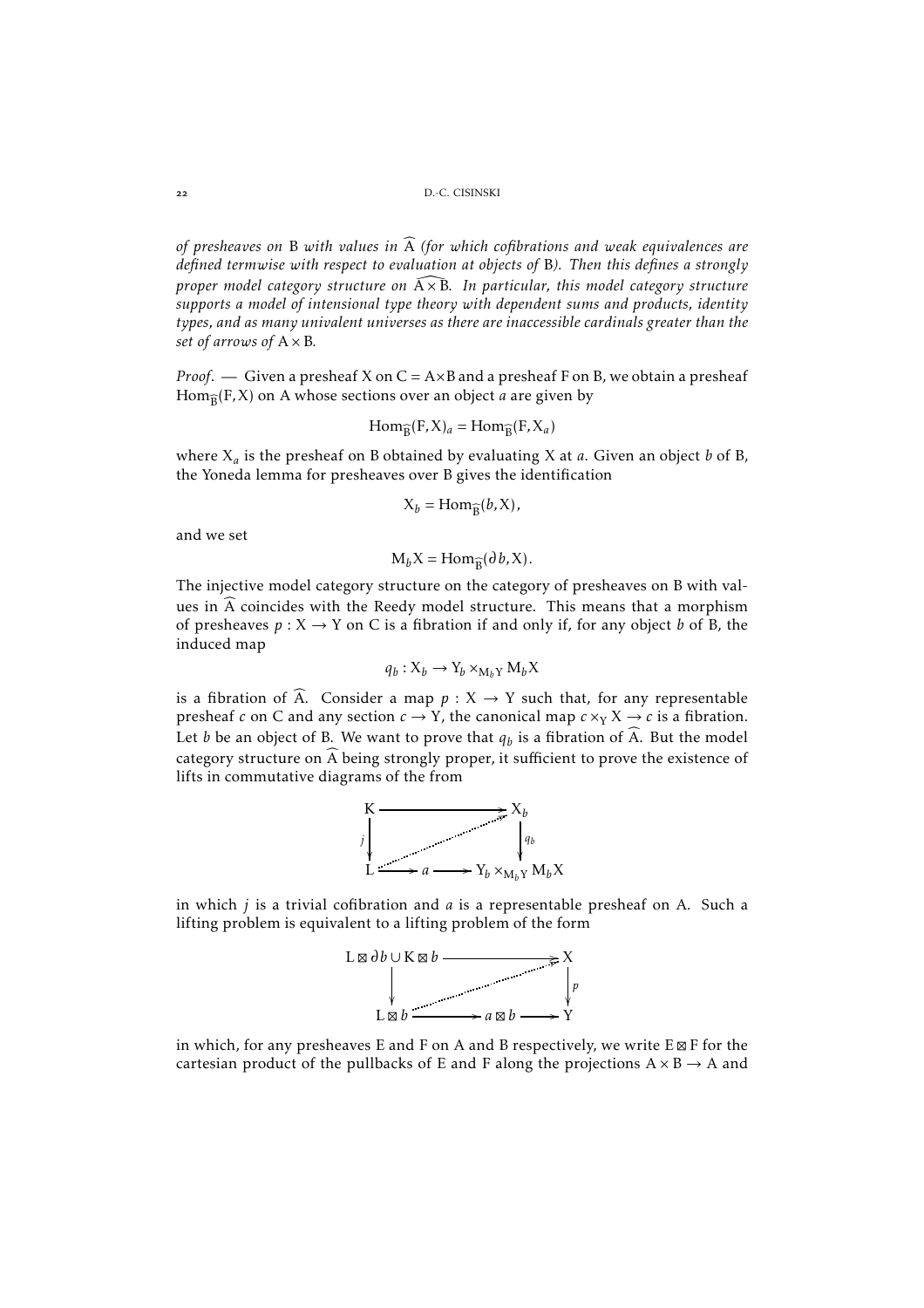*of presheaves on* B with values in  $\widehat{A}$  *(for which cofibrations and weak equivalences are defined termwise with respect to evaluation at objects of* B*). Then this defines a strongly proper model category structure on*  $\widehat{A \times B}$ . In particular, this model category structure *supports a model of intensional type theory with dependent sums and products, identity types, and as many univalent universes as there are inaccessible cardinals greater than the set of arrows of* A× B*.*

*Proof.* — Given a presheaf X on C = A×B and a presheaf F on B, we obtain a presheaf  $\operatorname{Hom}_{\widehat{\mathcal{B}}}(\mathrm{F},\mathrm{X})$  on A whose sections over an object *a* are given by

$$
\text{Hom}_{\widehat{B}}(F, X)_a = \text{Hom}_{\widehat{B}}(F, X_a)
$$

where X*<sup>a</sup>* is the presheaf on B obtained by evaluating X at *a*. Given an object *b* of B, the Yoneda lemma for presheaves over B gives the identification

$$
X_b = \text{Hom}_{\widehat{B}}(b, X),
$$

and we set

 $M_b X = \text{Hom}_{\widehat{B}}(\partial b, X)$ .

The injective model category structure on the category of presheaves on B with values in  $\widehat{A}$  coincides with the Reedy model structure. This means that a morphism of presheaves  $p: X \to Y$  on C is a fibration if and only if, for any object *b* of B, the induced map

$$
q_b: X_b \to Y_b \times_{M_b Y} M_b X
$$

is a fibration of  $\widehat{A}$ . Consider a map  $p : X \rightarrow Y$  such that, for any representable presheaf *c* on C and any section  $c \rightarrow Y$ , the canonical map  $c \times_Y X \rightarrow c$  is a fibration. Let *b* be an object of B. We want to prove that  $q_b$  is a fibration of  $\widehat{A}$ . But the model category structure on  $\widehat{A}$  being strongly proper, it sufficient to prove the existence of lifts in commutative diagrams of the from



in which *j* is a trivial cofibration and *a* is a representable presheaf on A. Such a lifting problem is equivalent to a lifting problem of the form



in which, for any presheaves E and F on A and B respectively, we write E⊠ F for the cartesian product of the pullbacks of E and F along the projections  $A \times B \rightarrow A$  and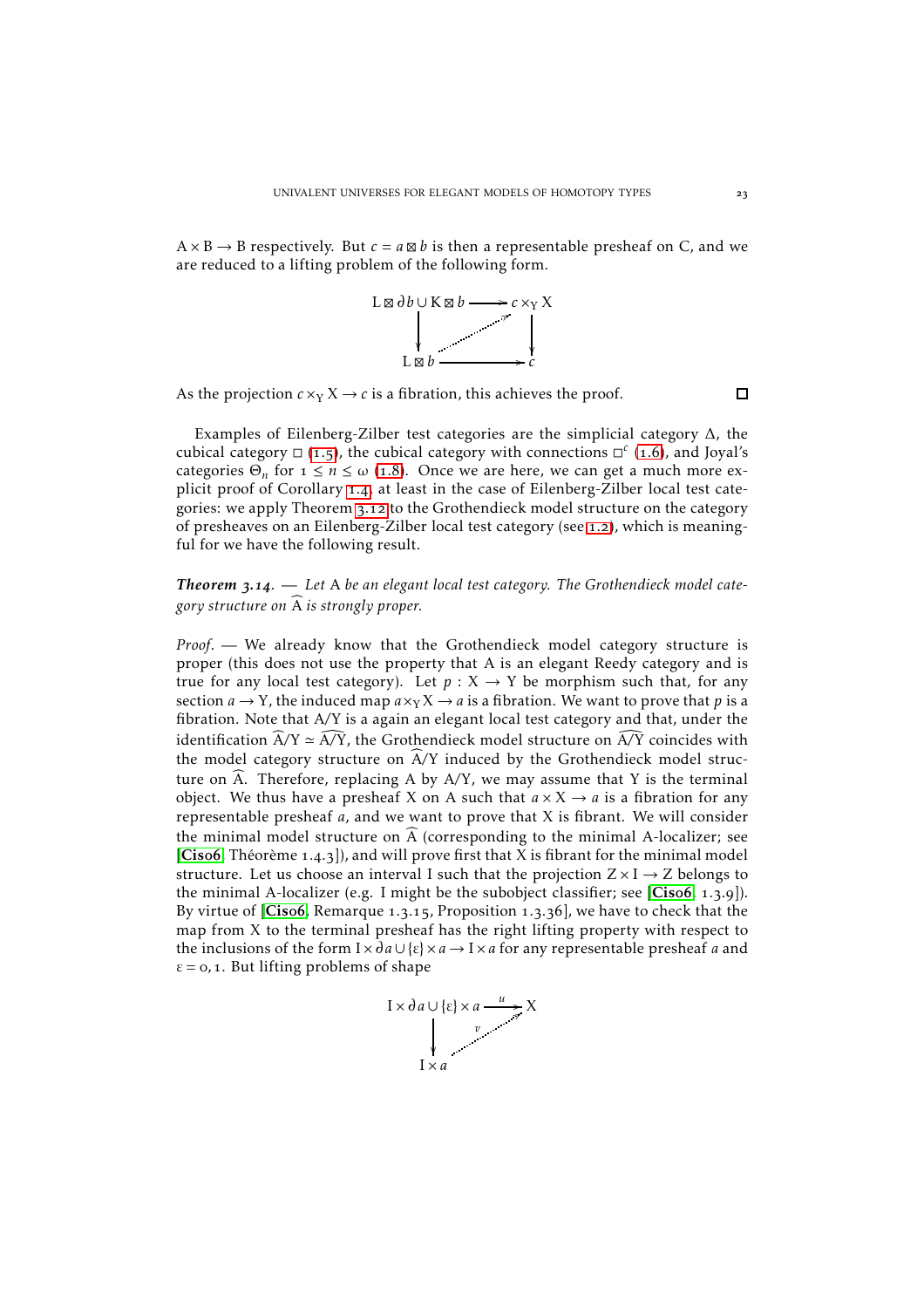$A \times B \rightarrow B$  respectively. But  $c = a \boxtimes b$  is then a representable presheaf on C, and we are reduced to a lifting problem of the following form.



As the projection  $c \times_Y X \to c$  is a fibration, this achieves the proof.

 $\Box$ 

Examples of Eilenberg-Zilber test categories are the simplicial category ∆, the cubical category  $\Box$  (1.5), the cubical category with connections  $\Box^c$  (1.6), and Joyal's categories  $\Theta_n$  for  $1 \le n \le \omega$  (1.8). Once we are here, we can get a much more explicit proof of Corollary 1.4, at least in the case of Eilenberg-Zilber local test categories: we apply Theorem 3.12 to the Grothendieck model structure on the category of presheaves on an Eilenberg-Zilber local test category (see 1.2), which is meaningful for we have the following result.

## Theorem 3.14. - Let A be an elegant local test category. The Grothendieck model cate*gory structure on*  $\widehat{A}$  *is strongly proper.*

*Proof*. — We already know that the Grothendieck model category structure is proper (this does not use the property that A is an elegant Reedy category and is true for any local test category). Let  $p : X \rightarrow Y$  be morphism such that, for any section  $a \rightarrow Y$ , the induced map  $a \times_Y X \rightarrow a$  is a fibration. We want to prove that p is a fibration. Note that A*/*Y is a again an elegant local test category and that, under the identification  $\widehat{A}/Y \simeq \widehat{A/Y}$ , the Grothendieck model structure on  $\widehat{A/Y}$  coincides with the model category structure on  $\widehat{A}/Y$  induced by the Grothendieck model structure on  $\widehat{A}$ . Therefore, replacing A by A/Y, we may assume that Y is the terminal object. We thus have a presheaf X on A such that  $a \times X \rightarrow a$  is a fibration for any representable presheaf *a*, and we want to prove that X is fibrant. We will consider the minimal model structure on  $\overline{A}$  (corresponding to the minimal A-localizer; see [[Cis](#page-24-7)o6, Théorème  $1.4.3$ ]), and will prove first that X is fibrant for the minimal model structure. Let us choose an interval I such that the projection  $Z \times I \rightarrow Z$  belongs to the minimal A-localizer (e.g. I might be the subobject classifier; see  $[Cisof, 1, 3, 9]$  $[Cisof, 1, 3, 9]$  $[Cisof, 1, 3, 9]$ ). By virtue of  $[Cisof, Remainque 1.3.15, Proposition 1.3.36]$  $[Cisof, Remainque 1.3.15, Proposition 1.3.36]$  $[Cisof, Remainque 1.3.15, Proposition 1.3.36]$ , we have to check that the map from X to the terminal presheaf has the right lifting property with respect to the inclusions of the form  $I \times \partial a \cup \{\varepsilon\} \times a \to I \times a$  for any representable presheaf *a* and  $\varepsilon$  =  $\sigma$ , 1. But lifting problems of shape

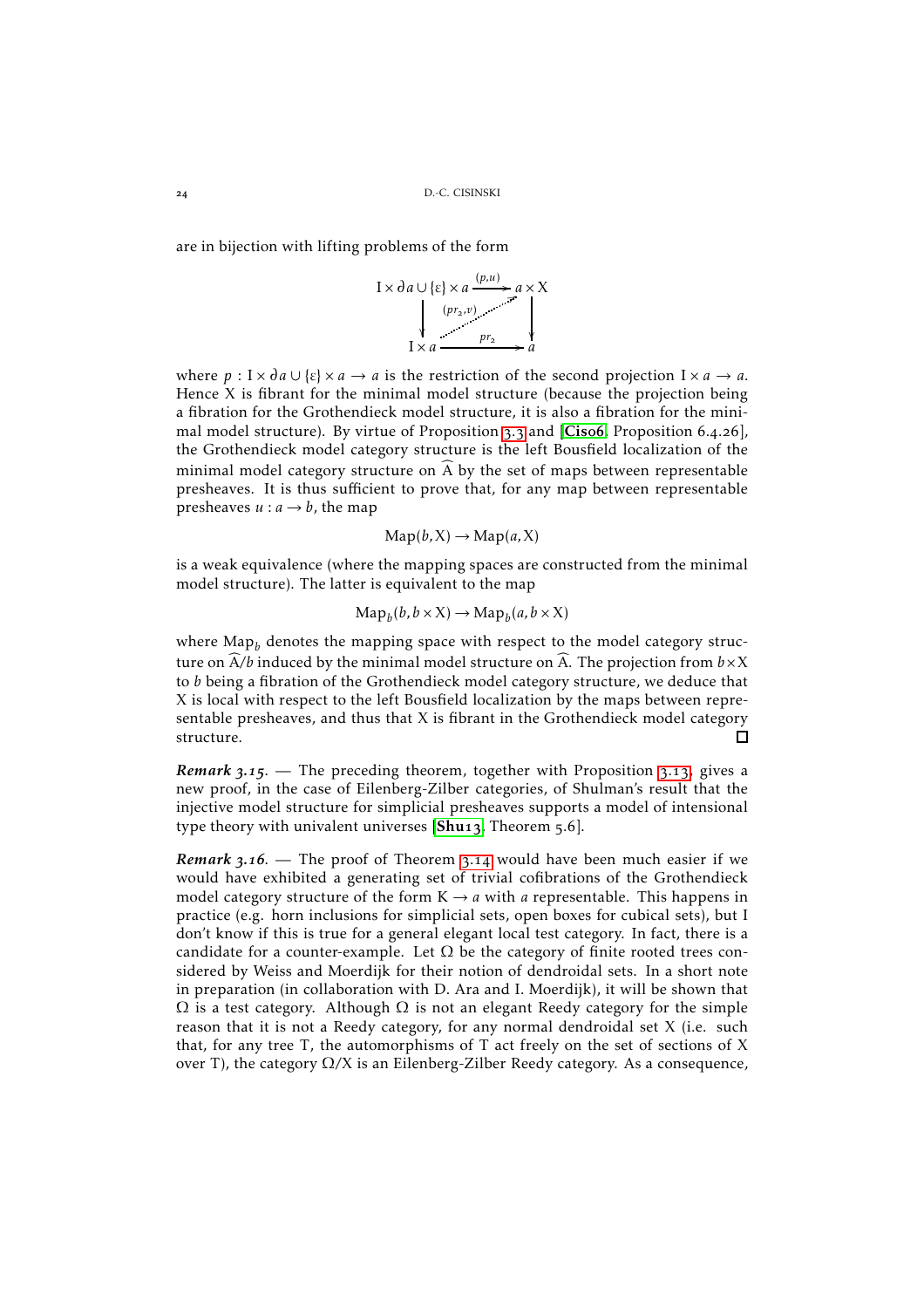are in bijection with lifting problems of the form

$$
I \times \partial a \cup \{\varepsilon\} \times a \xrightarrow{(p,u)} a \times X
$$
\n
$$
\downarrow \qquad (pr_2, v) \qquad \searrow
$$
\n
$$
I \times a \xrightarrow{pr_2} a
$$

where  $p: I \times \partial a \cup \{\varepsilon\} \times a \to a$  is the restriction of the second projection  $I \times a \to a$ . Hence X is fibrant for the minimal model structure (because the projection being a fibration for the Grothendieck model structure, it is also a fibration for the minimal model structure). By virtue of Proposition  $3.3$  and  $[Cisof, Proposition 6.4.26]$  $[Cisof, Proposition 6.4.26]$  $[Cisof, Proposition 6.4.26]$ , the Grothendieck model category structure is the left Bousfield localization of the minimal model category structure on  $\widehat{A}$  by the set of maps between representable presheaves. It is thus sufficient to prove that, for any map between representable presheaves  $u : a \rightarrow b$ , the map

$$
Map(b, X) \to Map(a, X)
$$

is a weak equivalence (where the mapping spaces are constructed from the minimal model structure). The latter is equivalent to the map

$$
\mathrm{Map}_b(b, b \times X) \to \mathrm{Map}_b(a, b \times X)
$$

where Map*<sup>b</sup>* denotes the mapping space with respect to the model category structure on  $\widehat{A}/b$  induced by the minimal model structure on  $\widehat{A}$ . The projection from  $b \times X$ to *b* being a fibration of the Grothendieck model category structure, we deduce that X is local with respect to the left Bousfield localization by the maps between representable presheaves, and thus that  $X$  is fibrant in the Grothendieck model category structure.  $\Gamma$ 

*Remark* 3.15. — The preceding theorem, together with Proposition 3.13, gives a new proof, in the case of Eilenberg-Zilber categories, of Shulman's result that the injective model structure for simplicial presheaves supports a model of intensional type theory with univalent universes  $[Shu13, Theorem 5.6].$  $[Shu13, Theorem 5.6].$  $[Shu13, Theorem 5.6].$ 

*Remark* 3.16. — The proof of Theorem 3.14 would have been much easier if we would have exhibited a generating set of trivial cofibrations of the Grothendieck model category structure of the form  $K \rightarrow a$  with *a* representable. This happens in practice (e.g. horn inclusions for simplicial sets, open boxes for cubical sets), but I don't know if this is true for a general elegant local test category. In fact, there is a candidate for a counter-example. Let  $\Omega$  be the category of finite rooted trees considered by Weiss and Moerdijk for their notion of dendroidal sets. In a short note in preparation (in collaboration with D. Ara and I. Moerdijk), it will be shown that  $\Omega$  is a test category. Although  $\Omega$  is not an elegant Reedy category for the simple reason that it is not a Reedy category, for any normal dendroidal set X (i.e. such that, for any tree T, the automorphisms of T act freely on the set of sections of X over T), the category Ω*/*X is an Eilenberg-Zilber Reedy category. As a consequence,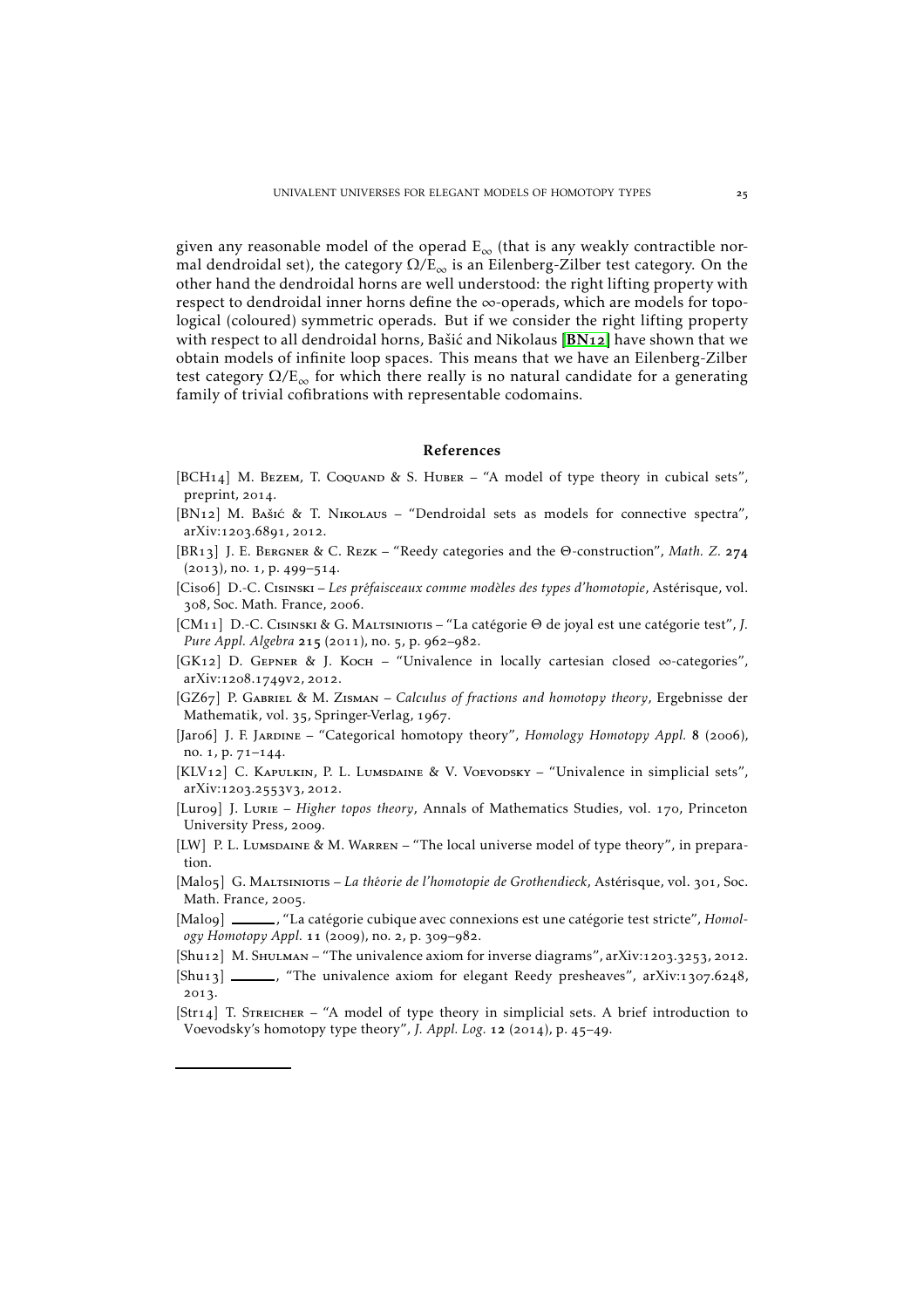given any reasonable model of the operad  $E_{\infty}$  (that is any weakly contractible normal dendroidal set), the category  $\Omega/E_{\infty}$  is an Eilenberg-Zilber test category. On the other hand the dendroidal horns are well understood: the right lifting property with respect to dendroidal inner horns define the ∞-operads, which are models for topological (coloured) symmetric operads. But if we consider the right lifting property with respect to all dendroidal horns, Bašić and Nikolaus  $[BN_12]$  $[BN_12]$  $[BN_12]$  have shown that we obtain models of infinite loop spaces. This means that we have an Eilenberg-Zilber test category  $\Omega/E_{\infty}$  for which there really is no natural candidate for a generating family of trivial cofibrations with representable codomains.

### <span id="page-24-5"></span>References

- <span id="page-24-4"></span>[BCH14] M. BEZEM, T. COQUAND & S. HUBER – "A model of type theory in cubical sets", preprint, 2014.
- <span id="page-24-15"></span>[BN12] M. Bašić & T. NIKOLAUS – "Dendroidal sets as models for connective spectra", arXiv:1203.6891, 2012.
- <span id="page-24-6"></span>[BR13] J. E. BERGNER & C. REZK – "Reedy categories and the Θ-construction", Math. Z. 274  $(2013)$ , no. 1, p. 499-514.
- <span id="page-24-7"></span>[Ciso6] D.-C. CISINSKI – Les préfaisceaux comme modèles des types d'homotopie, Astérisque, vol. 308, Soc. Math. France, 2006.
- <span id="page-24-13"></span>[CM<sub>11</sub>] D.-C. CISINSKI & G. MALTSINIOTIS – "La catégorie Θ de joyal est une catégorie test", *J. Pure Appl. Algebra* 215 (2011), no. 5, p. 962-982.
- <span id="page-24-10"></span>[GK12] D. GEPNER & J. Koch – "Univalence in locally cartesian closed  $\infty$ -categories", arXiv:1208.1749V2, 2012.
- <span id="page-24-3"></span>[GZ67] P. GABRIEL & M. ZISMAN – *Calculus of fractions and homotopy theory*, Ergebnisse der Mathematik, vol. 35, Springer-Verlag, 1967.
- [Jaro6] J. F. JARDINE "Categorical homotopy theory", *Homology Homotopy Appl.* 8 (2006), no.  $1, p. 71-144.$
- <span id="page-24-1"></span>[KLV12] C. KAPULKIN, P. L. LUMSDAINE & V. VOEVODSKY – "Univalence in simplicial sets", arXiv:1203.2553V3, 2012.
- <span id="page-24-9"></span>[Luro9] J. Lurie – *Higher topos theory*, Annals of Mathematics Studies, vol. 170, Princeton University Press, 2009.
- <span id="page-24-2"></span>[LW] P. L. Lumsdaine & M. Warren – "The local universe model of type theory", in preparation.
- <span id="page-24-11"></span>[Malo5] G. MALTSINIOTIS – *La théorie de l'homotopie de Grothendieck*, Astérisque, vol. 301, Soc. Math. France, 2005.
- <span id="page-24-12"></span>[Malo9] \_\_\_\_\_\_, "La catégorie cubique avec connexions est une catégorie test stricte", *Homology Homotopy Appl.* 11 (2009), no. 2, p. 309-982.
- <span id="page-24-0"></span>[Shu12] M. SHULMAN – "The univalence axiom for inverse diagrams", arXiv:1203.3253, 2012.
- <span id="page-24-8"></span> $[Shu13]$  , "The univalence axiom for elegant Reedy presheaves", arXiv:1307.6248, 2013.
- <span id="page-24-14"></span>[Str<sub>14</sub>] T. STREICHER – "A model of type theory in simplicial sets. A brief introduction to Voevodsky's homotopy type theory", *J. Appl. Log.* 12 (2014), p. 45-49.